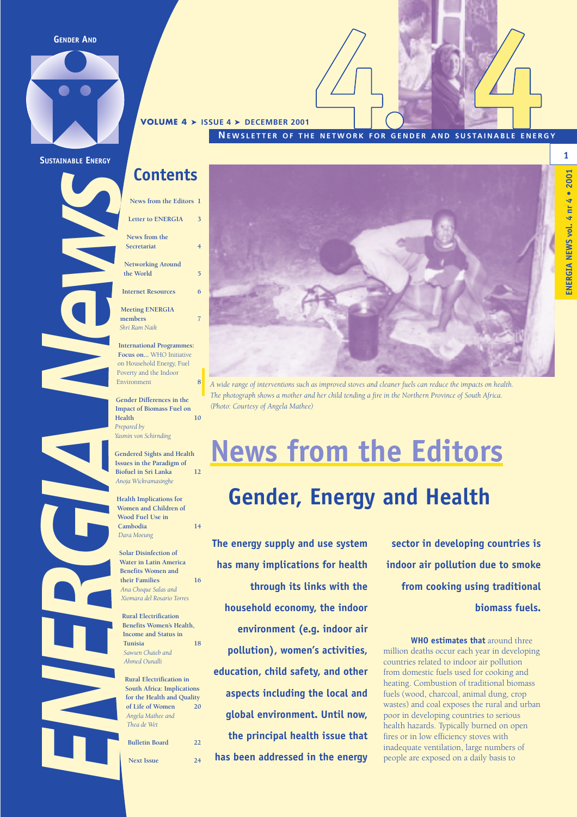**GENDER AND**



**SUSTAINABLE ENERGY**

**Contents News from the Editors 1 Letter to ENERGIA 3**

**VOLUME 4** ➤ **ISSUE 4** ➤ **DECEMBER 2001**

**Networking Around the World 5**

**Internet Resources 6**

**News from the Secretariat 4**

**Meeting ENERGIA members 7** *Shri Ram Naik*

**International Programmes: Focus on...** WHO Initiative on Household Energy, Fuel Poverty and the Indoor Environment **8**

**Gender Differences in the Impact of Biomass Fuel on Health 10** *Prepared by Yasmin von Schirnding*

**Gendered Sights and Health Issues in the Paradigm of Biofuel in Sri Lanka 12** *Anoja Wickramasinghe*

**Health Implications for Women and Children of Wood Fuel Use in Cambodia 14** *Dara Moeung*

**Solar Disinfection of Water in Latin America Benefits Women and their Families 16** *Ana Choque Salas and Xiomara del Rosario Torres*

**Rural Electrification Benefits Women's Health, Income and Status in Tunisia 18** *Sawsen Chaieb and Ahmed Ounalli*

**Rural Electrification in South Africa: Implications for the Health and Quality of Life of Women** 20 *Angela Mathee and Thea de Wet*

**Bulletin Board 22 Next Issue 24**



**NEWSLETTER OF THE NETWORK FOR GENDER AND SUSTAINABLE ENERGY**

*A wide range of interventions such as improved stoves and cleaner fuels can reduce the impacts on health. The photograph shows a mother and her child tending a fire in the Northern Province of South Africa. (Photo: Courtesy of Angela Mathee)*

### **News from the Editors**

### **Gender, Energy and Health**

**ENERGIA NEWS FROM CONSULTING SUBARUM SUBARUM SUBARUM SUBARUM SUBARUM SUBARUM SUBARUM SUBARUM SUBARUM SUBARUM SUBARUM SUBARUM SUBARUM SUBARUM SUBARUM SUBARUM SUBARUM SUBARUM SUBARUM SUBARUM SUBARUM SUBARUM SUBARUM SUBARUM has many implications for health through its links with the household economy, the indoor environment (e.g. indoor air pollution), women's activities, education, child safety, and other aspects including the local and global environment. Until now, the principal health issue that has been addressed in the energy**

**sector in developing countries is indoor air pollution due to smoke from cooking using traditional biomass fuels.** 

**WHO estimates that** around three million deaths occur each year in developing countries related to indoor air pollution from domestic fuels used for cooking and heating. Combustion of traditional biomass fuels (wood, charcoal, animal dung, crop wastes) and coal exposes the rural and urban poor in developing countries to serious health hazards. Typically burned on open fires or in low efficiency stoves with inadequate ventilation, large numbers of people are exposed on a daily basis to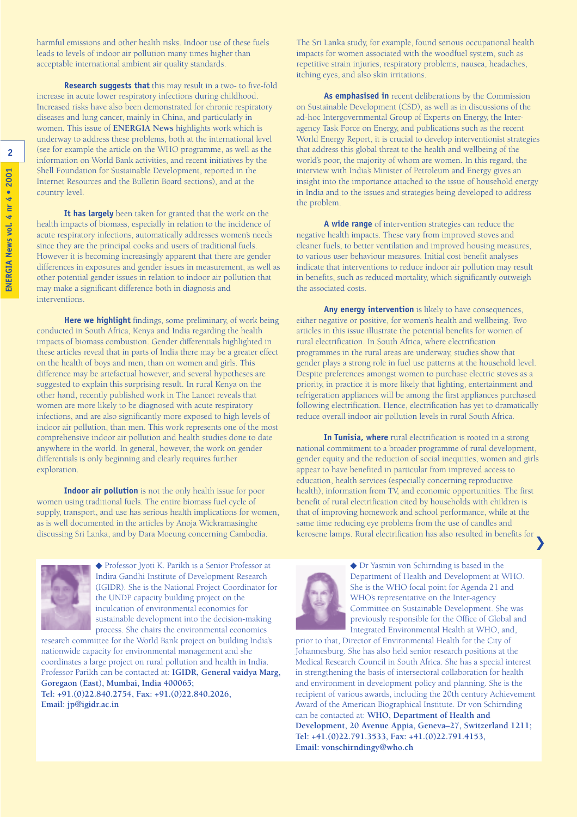harmful emissions and other health risks. Indoor use of these fuels leads to levels of indoor air pollution many times higher than acceptable international ambient air quality standards.

**Research suggests that** this may result in a two- to five-fold increase in acute lower respiratory infections during childhood. Increased risks have also been demonstrated for chronic respiratory diseases and lung cancer, mainly in China, and particularly in women. This issue of **ENERGIA News** highlights work which is underway to address these problems, both at the international level (see for example the article on the WHO programme, as well as the information on World Bank activities, and recent initiatives by the Shell Foundation for Sustainable Development, reported in the Internet Resources and the Bulletin Board sections), and at the country level.

**It has largely** been taken for granted that the work on the health impacts of biomass, especially in relation to the incidence of acute respiratory infections, automatically addresses women's needs since they are the principal cooks and users of traditional fuels. However it is becoming increasingly apparent that there are gender differences in exposures and gender issues in measurement, as well as other potential gender issues in relation to indoor air pollution that may make a significant difference both in diagnosis and interventions.

**Here we highlight** findings, some preliminary, of work being conducted in South Africa, Kenya and India regarding the health impacts of biomass combustion. Gender differentials highlighted in these articles reveal that in parts of India there may be a greater effect on the health of boys and men, than on women and girls. This difference may be artefactual however, and several hypotheses are suggested to explain this surprising result. In rural Kenya on the other hand, recently published work in The Lancet reveals that women are more likely to be diagnosed with acute respiratory infections, and are also significantly more exposed to high levels of indoor air pollution, than men. This work represents one of the most comprehensive indoor air pollution and health studies done to date anywhere in the world. In general, however, the work on gender differentials is only beginning and clearly requires further exploration.

**Indoor air pollution** is not the only health issue for poor women using traditional fuels. The entire biomass fuel cycle of supply, transport, and use has serious health implications for women, as is well documented in the articles by Anoja Wickramasinghe discussing Sri Lanka, and by Dara Moeung concerning Cambodia.



◆ Professor Jyoti K. Parikh is a Senior Professor at Indira Gandhi Institute of Development Research (IGIDR). She is the National Project Coordinator for the UNDP capacity building project on the inculcation of environmental economics for sustainable development into the decision-making process. She chairs the environmental economics

research committee for the World Bank project on building India's nationwide capacity for environmental management and she coordinates a large project on rural pollution and health in India. Professor Parikh can be contacted at: **IGIDR, General vaidya Marg, Goregaon (East), Mumbai, India 400065; Tel: +91.(0)22.840.2754, Fax: +91.(0)22.840.2026, Email: jp@igidr.ac.in**

The Sri Lanka study, for example, found serious occupational health impacts for women associated with the woodfuel system, such as repetitive strain injuries, respiratory problems, nausea, headaches, itching eyes, and also skin irritations.

**As emphasised in** recent deliberations by the Commission on Sustainable Development (CSD), as well as in discussions of the ad-hoc Intergovernmental Group of Experts on Energy, the Interagency Task Force on Energy, and publications such as the recent World Energy Report, it is crucial to develop interventionist strategies that address this global threat to the health and wellbeing of the world's poor, the majority of whom are women. In this regard, the interview with India's Minister of Petroleum and Energy gives an insight into the importance attached to the issue of household energy in India and to the issues and strategies being developed to address the problem.

**A wide range** of intervention strategies can reduce the negative health impacts. These vary from improved stoves and cleaner fuels, to better ventilation and improved housing measures, to various user behaviour measures. Initial cost benefit analyses indicate that interventions to reduce indoor air pollution may result in benefits, such as reduced mortality, which significantly outweigh the associated costs.

Any **energy intervention** is likely to have consequences, either negative or positive, for women's health and wellbeing. Two articles in this issue illustrate the potential benefits for women of rural electrification. In South Africa, where electrification programmes in the rural areas are underway, studies show that gender plays a strong role in fuel use patterns at the household level. Despite preferences amongst women to purchase electric stoves as a priority, in practice it is more likely that lighting, entertainment and refrigeration appliances will be among the first appliances purchased following electrification. Hence, electrification has yet to dramatically reduce overall indoor air pollution levels in rural South Africa.

**In Tunisia, where** rural electrification is rooted in a strong national commitment to a broader programme of rural development, gender equity and the reduction of social inequities, women and girls appear to have benefited in particular from improved access to education, health services (especially concerning reproductive health), information from TV, and economic opportunities. The first benefit of rural electrification cited by households with children is that of improving homework and school performance, while at the same time reducing eye problems from the use of candles and kerosene lamps. Rural electrification has also resulted in benefits for  $\left.\rule{0.3cm}{1.2cm}\right\}$ 



◆ Dr Yasmin von Schirnding is based in the Department of Health and Development at WHO. She is the WHO focal point for Agenda 21 and WHO's representative on the Inter-agency Committee on Sustainable Development. She was previously responsible for the Office of Global and Integrated Environmental Health at WHO, and,

prior to that, Director of Environmental Health for the City of Johannesburg. She has also held senior research positions at the Medical Research Council in South Africa. She has a special interest in strengthening the basis of intersectoral collaboration for health and environment in development policy and planning. She is the recipient of various awards, including the 20th century Achievement Award of the American Biographical Institute. Dr von Schirnding can be contacted at: **WHO, Department of Health and Development, 20 Avenue Appia, Geneva–27, Switzerland 1211; Tel: +41.(0)22.791.3533, Fax: +41.(0)22.791.4153, Email: vonschirndingy@who.ch**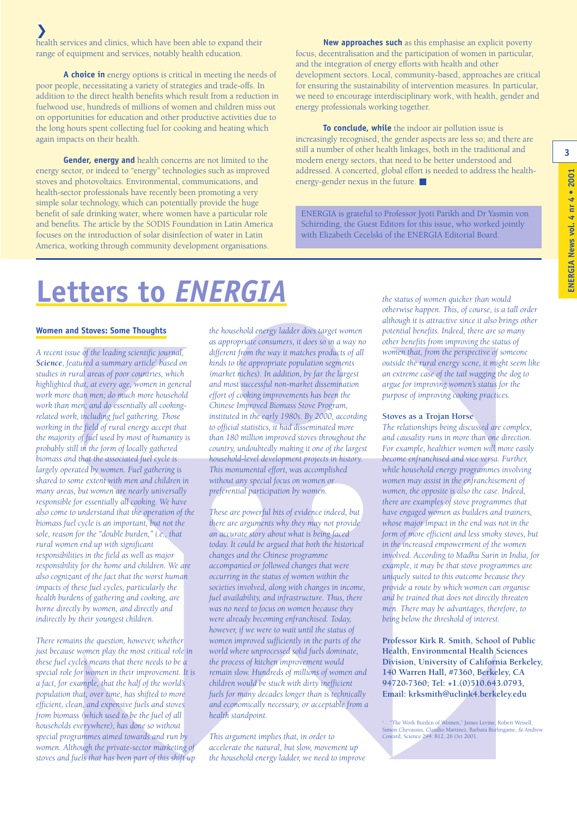**3**

health services and clinics, which have been able to expand their range of equipment and services, notably health education.  $\blacktriangleright$ 

**A choice in** energy options is critical in meeting the needs of poor people, necessitating a variety of strategies and trade-offs. In addition to the direct health benefits which result from a reduction in fuelwood use, hundreds of millions of women and children miss out on opportunities for education and other productive activities due to the long hours spent collecting fuel for cooking and heating which again impacts on their health.

**Gender, energy and** health concerns are not limited to the energy sector, or indeed to "energy" technologies such as improved stoves and photovoltaics. Environmental, communications, and health-sector professionals have recently been promoting a very simple solar technology, which can potentially provide the huge benefit of safe drinking water, where women have a particular role and benefits. The article by the SODIS Foundation in Latin America focuses on the introduction of solar disinfection of water in Latin America, working through community development organisations.

**New approaches such** as this emphasise an explicit poverty focus, decentralisation and the participation of women in particular, and the integration of energy efforts with health and other development sectors. Local, community-based, approaches are critical for ensuring the sustainability of intervention measures. In particular, we need to encourage interdisciplinary work, with health, gender and energy professionals working together.

**To conclude, while** the indoor air pollution issue is increasingly recognised, the gender aspects are less so; and there are still a number of other health linkages, both in the traditional and modern energy sectors, that need to be better understood and addressed. A concerted, global effort is needed to address the healthenergy-gender nexus in the future. ■

ENERGIA is grateful to Professor Jyoti Parikh and Dr Yasmin von Schirnding, the Guest Editors for this issue, who worked jointly with Elizabeth Cecelski of the ENERGIA Editorial Board.

### **Letters to** *ENERGIA*

#### **Women and Stoves: Some Thoughts**

*A recent issue of the leading scientific journal, Science, featured a summary article1 based on studies in rural areas of poor countries, which highlighted that, at every age, women in general work more than men; do much more household work than men; and do essentially all cookingrelated work, including fuel gathering. Those working in the field of rural energy accept that the majority of fuel used by most of humanity is probably still in the form of locally gathered biomass and that the associated fuel cycle is largely operated by women. Fuel gathering is shared to some extent with men and children in many areas, but women are nearly universally responsible for essentially all cooking. We have also come to understand that the operation of the biomass fuel cycle is an important, but not the sole, reason for the "double burden," i.e., that rural women end up with significant responsibilities in the field as well as major responsibility for the home and children. We are also cognizant of the fact that the worst human impacts of these fuel cycles, particularly the health burdens of gathering and cooking, are borne directly by women, and directly and indirectly by their youngest children.*

*There remains the question, however, whether just because women play the most critical role in these fuel cycles means that there needs to be a special role for women in their improvement. It is a fact, for example, that the half of the world's population that, over time, has shifted to more efficient, clean, and expensive fuels and stoves from biomass (which used to be the fuel of all households everywhere), has done so without special programmes aimed towards and run by women. Although the private-sector marketing of stoves and fuels that has been part of this shift up*

*the household energy ladder does target women as appropriate consumers, it does so in a way no different from the way it matches products of all kinds to the appropriate population segments (market niches). In addition, by far the largest and most successful non-market dissemination effort of cooking improvements has been the Chinese Improved Biomass Stove Program, instituted in the early 1980s. By 2000, according to official statistics, it had disseminated more than 180 million improved stoves throughout the country, undoubtedly making it one of the largest household-level development projects in history. This monumental effort, was accomplished without any special focus on women or preferential participation by women.*

*These are powerful bits of evidence indeed, but there are arguments why they may not provide an accurate story about what is being faced today. It could be argued that both the historical changes and the Chinese programme accompanied or followed changes that were occurring in the status of women within the societies involved, along with changes in income, fuel availability, and infrastructure. Thus, there was no need to focus on women because they were already becoming enfranchised. Today, however, if we were to wait until the status of women improved sufficiently in the parts of the world where unprocessed solid fuels dominate, the process of kitchen improvement would remain slow. Hundreds of millions of women and children would be stuck with dirty inefficient fuels for many decades longer than is technically and economically necessary, or acceptable from a health standpoint.*

*This argument implies that, in order to accelerate the natural, but slow, movement up the household energy ladder, we need to improve* *the status of women quicker than would otherwise happen. This, of course, is a tall order although it is attractive since it also brings other potential benefits. Indeed, there are so many other benefits from improving the status of women that, from the perspective of someone outside the rural energy scene, it might seem like an extreme case of the tail wagging the dog to argue for improving women's status for the purpose of improving cooking practices.*

#### **Stoves as a Trojan Horse**

*The relationships being discussed are complex, and causality runs in more than one direction. For example, healthier women will more easily become enfranchised and vice versa. Further, while household energy programmes involving women may assist in the enfranchisement of women, the opposite is also the case. Indeed, there are examples of stove programmes that have engaged women as builders and trainers, whose major impact in the end was not in the form of more efficient and less smoky stoves, but in the increased empowerment of the women involved. According to Madhu Sarin in India, for example, it may be that stove programmes are uniquely suited to this outcome because they provide a route by which women can organise and be trained that does not directly threaten men. There may be advantages, therefore, to being below the threshold of interest.* 

**Professor Kirk R. Smith, School of Public Health, Environmental Health Sciences Division, University of California Berkeley, 140 Warren Hall, #7360, Berkeley, CA 94720-7360; Tel: +1.(0)510.643.0793, Email: krksmith@uclink4.berkeley.edu**

<sup>&</sup>lt;sup>1</sup>. . "The Work Burden of Women," James Levine, Robert Weisell, Simon Chevassus, Claudio Martinez, Barbara Burlingame, & Andrew Coward, Science 294: 812, 26 Oct 2001.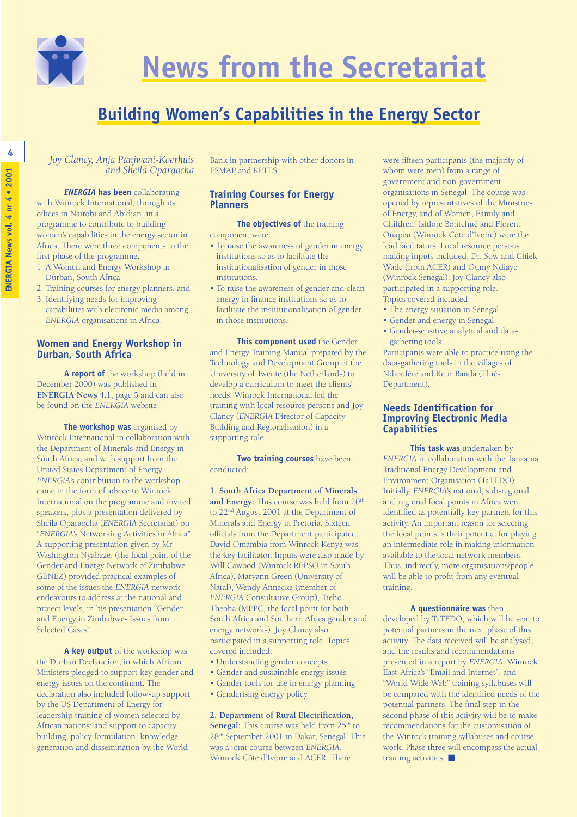

## **News from the Secretariat**

### **Building Women's Capabilities in the Energy Sector**

*Joy Clancy, Anja Panjwani-Koerhuis and Sheila Oparaocha*

#### *ENERGIA* **has been** collaborating

with Winrock International, through its offices in Nairobi and Abidjan, in a programme to contribute to building women's capabilities in the energy sector in Africa. There were three components to the first phase of the programme:

- 1. A Women and Energy Workshop in Durban, South Africa.
- 2. Training courses for energy planners, and
- 3. Identifying needs for improving
- capabilities with electronic media among *ENERGIA* organisations in Africa.

#### **Women and Energy Workshop in Durban, South Africa**

**A report of** the workshop (held in December 2000) was published in **ENERGIA News** 4.1, page 5 and can also be found on the *ENERGIA* website.

**The workshop was** organised by Winrock International in collaboration with the Department of Minerals and Energy in South Africa, and with support from the United States Department of Energy. *ENERGIA*'s contribution to the workshop came in the form of advice to Winrock International on the programme and invited speakers, plus a presentation delivered by Sheila Oparaocha (*ENERGIA* Secretariat) on "*ENERGIA*'s Networking Activities in Africa". A supporting presentation given by Mr Washington Nyabeze, (the focal point of the Gender and Energy Network of Zimbabwe - GENEZ) provided practical examples of some of the issues the *ENERGIA* network endeavours to address at the national and project levels, in his presentation "Gender and Energy in Zimbabwe- Issues from Selected Cases".

**A key output** of the workshop was the Durban Declaration, in which African Ministers pledged to support key gender and energy issues on the continent. The declaration also included follow-up support by the US Department of Energy for leadership training of women selected by African nations; and support to capacity building, policy formulation, knowledge generation and dissemination by the World

Bank in partnership with other donors in ESMAP and RPTES.

#### **Training Courses for Energy Planners**

**The objectives of** the training component were:

- To raise the awareness of gender in energy institutions so as to facilitate the institutionalisation of gender in those institutions.
- To raise the awareness of gender and clean energy in finance institutions so as to facilitate the institutionalisation of gender in those institutions.

**This component used** the Gender and Energy Training Manual prepared by the Technology and Development Group of the University of Twente (the Netherlands) to develop a curriculum to meet the clients' needs. Winrock International led the training with local resource persons and Joy Clancy (*ENERGIA* Director of Capacity Building and Regionalisation) in a supporting role.

**Two training courses** have been conducted:

**1. South Africa Department of Minerals** and Energy: This course was held from 20<sup>th</sup> to 22nd August 2001 at the Department of Minerals and Energy in Pretoria. Sixteen officials from the Department participated. David Omambia from Winrock Kenya was the key facilitator. Inputs were also made by: Will Cawood (Winrock REPSO in South Africa), Maryann Green (University of Natal), Wendy Annecke (member of *ENERGIA* Consultative Group), Tieho Theoha (MEPC, the focal point for both South Africa and Southern Africa gender and energy networks). Joy Clancy also participated in a supporting role. Topics covered included:

- Understanding gender concepts
- Gender and sustainable energy issues
- Gender tools for use in energy planning
- Genderising energy policy

#### **2. Department of Rural Electrification,**

Senegal: This course was held from 25<sup>th</sup> to 28th September 2001 in Dakar, Senegal. This was a joint course between *ENERGIA*, Winrock Côte d'Ivoire and ACER. There

were fifteen participants (the majority of whom were men) from a range of government and non-government organisations in Senegal. The course was opened by representatives of the Ministries of Energy, and of Women, Family and Children. Isidore Bontchué and Florent Ouapeu (Winrock Côte d'Ivoire) were the lead facilitators. Local resource persons making inputs included; Dr. Sow and Chiek Wade (from ACER) and Oumy Ndiaye (Winrock Senegal). Joy Clancy also participated in a supporting role. Topics covered included:

- The energy situation in Senegal
- Gender and energy in Senegal
- Gender-sensitive analytical and datagathering tools

Participants were able to practice using the data-gathering tools in the villages of Ndioufère and Keur Banda (Thiés Department).

#### **Needs Identification for Improving Electronic Media Capabilities**

**This task was** undertaken by *ENERGIA* in collaboration with the Tanzania Traditional Energy Development and Environment Organisation (TaTEDO). Initially, *ENERGIA*'s national, sub-regional and regional focal points in Africa were identified as potentially key partners for this activity. An important reason for selecting the focal points is their potential for playing an intermediate role in making information available to the local network members. Thus, indirectly, more organisations/people will be able to profit from any eventual training.

#### **A questionnaire was** then

developed by TaTEDO, which will be sent to potential partners in the next phase of this activity. The data received will be analysed, and the results and recommendations presented in a report by *ENERGIA*. Winrock East-Africa's "Email and Internet", and "World Wide Web" training syllabuses will be compared with the identified needs of the potential partners. The final step in the second phase of this activity will be to make recommendations for the customisation of the Winrock training syllabuses and course work. Phase three will encompass the actual training activities. ■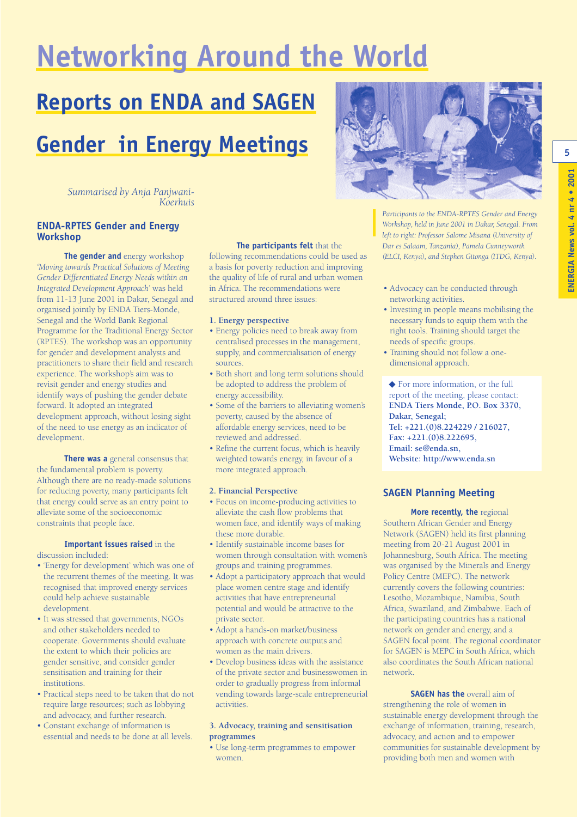## **Networking Around the World**

## **Reports on ENDA and SAGEN**

### **Gender in Energy Meetings**

*Summarised by Anja Panjwani-Koerhuis*

#### **ENDA-RPTES Gender and Energy Workshop**

**The gender and** energy workshop *'Moving towards Practical Solutions of Meeting Gender Differentiated Energy Needs within an Integrated Development Approach'* was held from 11-13 June 2001 in Dakar, Senegal and organised jointly by ENDA Tiers-Monde, Senegal and the World Bank Regional Programme for the Traditional Energy Sector (RPTES). The workshop was an opportunity for gender and development analysts and practitioners to share their field and research experience. The workshop's aim was to revisit gender and energy studies and identify ways of pushing the gender debate forward. It adopted an integrated development approach, without losing sight of the need to use energy as an indicator of development.

**There was a** general consensus that the fundamental problem is poverty. Although there are no ready-made solutions for reducing poverty, many participants felt that energy could serve as an entry point to alleviate some of the socioeconomic constraints that people face.

#### **Important issues raised** in the discussion included:

- 'Energy for development' which was one of the recurrent themes of the meeting. It was recognised that improved energy services could help achieve sustainable development.
- It was stressed that governments, NGOs and other stakeholders needed to cooperate. Governments should evaluate the extent to which their policies are gender sensitive, and consider gender sensitisation and training for their institutions.
- Practical steps need to be taken that do not require large resources; such as lobbying and advocacy, and further research.
- Constant exchange of information is essential and needs to be done at all levels.

#### **The participants felt** that the

following recommendations could be used as a basis for poverty reduction and improving the quality of life of rural and urban women in Africa. The recommendations were structured around three issues:

#### **1. Energy perspective**

- Energy policies need to break away from centralised processes in the management, supply, and commercialisation of energy sources.
- Both short and long term solutions should be adopted to address the problem of energy accessibility.
- Some of the barriers to alleviating women's poverty, caused by the absence of affordable energy services, need to be reviewed and addressed.
- Refine the current focus, which is heavily weighted towards energy, in favour of a more integrated approach.

#### **2. Financial Perspective**

- Focus on income-producing activities to alleviate the cash flow problems that women face, and identify ways of making these more durable.
- Identify sustainable income bases for women through consultation with women's groups and training programmes.
- Adopt a participatory approach that would place women centre stage and identify activities that have entrepreneurial potential and would be attractive to the private sector.
- Adopt a hands-on market/business approach with concrete outputs and women as the main drivers.
- Develop business ideas with the assistance of the private sector and businesswomen in order to gradually progress from informal vending towards large-scale entrepreneurial activities.

#### **3. Advocacy, training and sensitisation programmes**

• Use long-term programmes to empower women.



*left to right: Professor Salome Misana (University of Dar es Salaam, Tanzania), Pamela Cunneyworth (ELCI, Kenya), and Stephen Gitonga (ITDG, Kenya).* 

- Advocacy can be conducted through networking activities.
- Investing in people means mobilising the necessary funds to equip them with the right tools. Training should target the needs of specific groups.
- Training should not follow a onedimensional approach.

◆ For more information, or the full report of the meeting, please contact: **ENDA Tiers Monde, P.O. Box 3370, Dakar, Senegal; Tel: +221.(0)8.224229 / 216027, Fax: +221.(0)8.222695, Email: se@enda.sn, Website: http://www.enda.sn**

#### **SAGEN Planning Meeting**

**More recently, the** regional Southern African Gender and Energy Network (SAGEN) held its first planning meeting from 20-21 August 2001 in Johannesburg, South Africa. The meeting was organised by the Minerals and Energy Policy Centre (MEPC). The network currently covers the following countries: Lesotho, Mozambique, Namibia, South Africa, Swaziland, and Zimbabwe. Each of the participating countries has a national network on gender and energy, and a SAGEN focal point. The regional coordinator for SAGEN is MEPC in South Africa, which also coordinates the South African national network.

**SAGEN has the overall aim of** strengthening the role of women in sustainable energy development through the exchange of information, training, research, advocacy, and action and to empower communities for sustainable development by providing both men and women with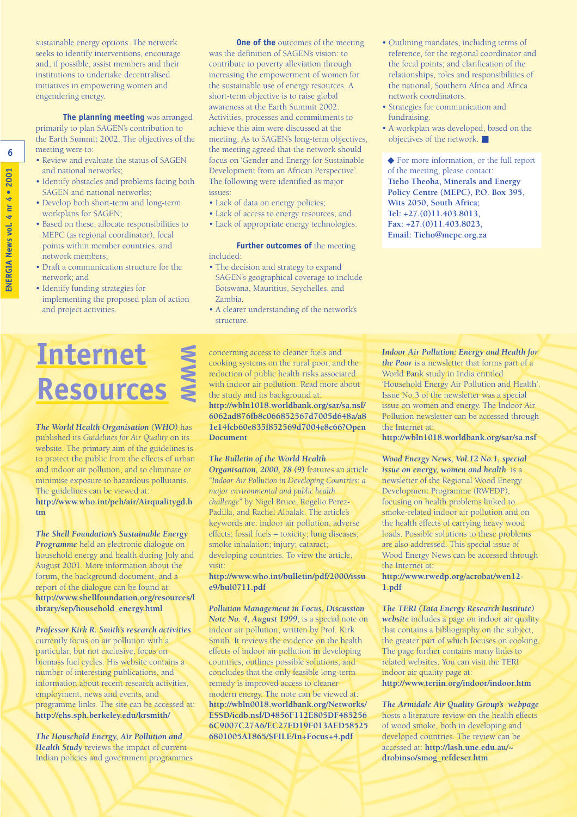sustainable energy options. The network seeks to identify interventions, encourage and, if possible, assist members and their institutions to undertake decentralised initiatives in empowering women and engendering energy.

**The planning meeting** was arranged primarily to plan SAGEN's contribution to the Earth Summit 2002. The objectives of the meeting were to:

- Review and evaluate the status of SAGEN and national networks;
- Identify obstacles and problems facing both SAGEN and national networks;
- Develop both short-term and long-term workplans for SAGEN;
- Based on these, allocate responsibilities to MEPC (as regional coordinator), focal points within member countries, and network members;
- Draft a communication structure for the network; and
- Identify funding strategies for implementing the proposed plan of action and project activities.

### **Internet Resources WWW**

*The World Health Organisation (WHO)* has published its *Guidelines for Air Quality* on its website. The primary aim of the guidelines is to protect the public from the effects of urban and indoor air pollution, and to eliminate or minimise exposure to hazardous pollutants. The guidelines can be viewed at: **http://www.who.int/peh/air/Airqualitygd.h tm**

*The Shell Foundation's Sustainable Energy Programme* held an electronic dialogue on household energy and health during July and August 2001. More information about the forum, the background document, and a report of the dialogue can be found at: **http://www.shellfoundation.org/resources/l ibrary/sep/household\_energy.html**

#### *Professor Kirk R. Smith's research activities*

currently focus on air pollution with a particular, but not exclusive, focus on biomass fuel cycles. His website contains a number of interesting publications, and information about recent research activities, employment, news and events, and programme links. The site can be accessed at: **http://ehs.sph.berkeley.edu/krsmith/**

*The Household Energy, Air Pollution and Health Study* reviews the impact of current Indian policies and government programmes

**One of the** outcomes of the meeting was the definition of SAGEN's vision: to contribute to poverty alleviation through increasing the empowerment of women for the sustainable use of energy resources. A short-term objective is to raise global awareness at the Earth Summit 2002. Activities, processes and commitments to achieve this aim were discussed at the meeting. As to SAGEN's long-term objectives, the meeting agreed that the network should focus on 'Gender and Energy for Sustainable Development from an African Perspective'. The following were identified as major issues:

- Lack of data on energy policies;
- Lack of access to energy resources; and
- Lack of appropriate energy technologies.

#### **Further outcomes of** the meeting included:

- The decision and strategy to expand SAGEN's geographical coverage to include Botswana, Mauritius, Seychelles, and Zambia.
- A clearer understanding of the network's structure.

concerning access to cleaner fuels and cooking systems on the rural poor, and the reduction of public health risks associated with indoor air pollution. Read more about the study and its background at:

**http://wbln1018.worldbank.org/sar/sa.nsf/ 6062ad876fb8c066852567d7005d648a/a8 1e14fcb60e835f852569d7004e8c66?Open Document**

#### *The Bulletin of the World Health*

*Organisation, 2000, 78 (9)* features an article *"Indoor Air Pollution in Developing Countries: a major environmental and public health challenge"* by Nigel Bruce, Rogelio Perez-Padilla, and Rachel Albalak. The article's keywords are: indoor air pollution; adverse effects; fossil fuels – toxicity; lung diseases; smoke inhalation; injury; cataract; developing countries. To view the article, visit:

**http://www.who.int/bulletin/pdf/2000/issu e9/bul0711.pdf**

*Pollution Management in Focus, Discussion Note No. 4, August 1999*, is a special note on indoor air pollution, written by Prof. Kirk Smith. It reviews the evidence on the health effects of indoor air pollution in developing countries, outlines possible solutions, and concludes that the only feasible long-term remedy is improved access to cleaner modern energy. The note can be viewed at: **http://wbln0018.worldbank.org/Networks/ ESSD/icdb.nsf/D4856F112E805DF485256 6C9007C27A6/EC27FD19F013AED58525 6801005A1865/\$FILE/In+Focus+4.pdf**

- Outlining mandates, including terms of reference, for the regional coordinator and the focal points; and clarification of the relationships, roles and responsibilities of the national, Southern Africa and Africa network coordinators.
- Strategies for communication and fundraising.
- A workplan was developed, based on the objectives of the network. ■

◆ For more information, or the full report of the meeting, please contact: **Tieho Theoha, Minerals and Energy Policy Centre (MEPC), P.O. Box 395, Wits 2050, South Africa; Tel: +27.(0)11.403.8013, Fax: +27.(0)11.403.8023, Email: Tieho@mepc.org.za**

*Indoor Air Pollution: Energy and Health for the Poor* is a newsletter that forms part of a World Bank study in India entitled 'Household Energy Air Pollution and Health'. Issue No.3 of the newsletter was a special issue on women and energy. The Indoor Air Pollution newsletter can be accessed through the Internet at:

**http://wbln1018.worldbank.org/sar/sa.nsf**

*Wood Energy News, Vol.12 No.1, special issue on energy, women and health* is a newsletter of the Regional Wood Energy Development Programme (RWEDP), focusing on health problems linked to smoke-related indoor air pollution and on the health effects of carrying heavy wood loads. Possible solutions to these problems are also addressed. This special issue of Wood Energy News can be accessed through the Internet at:

**http://www.rwedp.org/acrobat/wen12- 1.pdf**

*The TERI (Tata Energy Research Institute) website* includes a page on indoor air quality that contains a bibliography on the subject, the greater part of which focuses on cooking. The page further contains many links to related websites. You can visit the TERI indoor air quality page at: **http://www.teriin.org/indoor/indoor.htm**

*The Armidale Air Quality Group's webpage* hosts a literature review on the health effects of wood smoke, both in developing and developed countries. The review can be accessed at: **http://lash.une.edu.au/~ drobinso/smog\_refdescr.htm**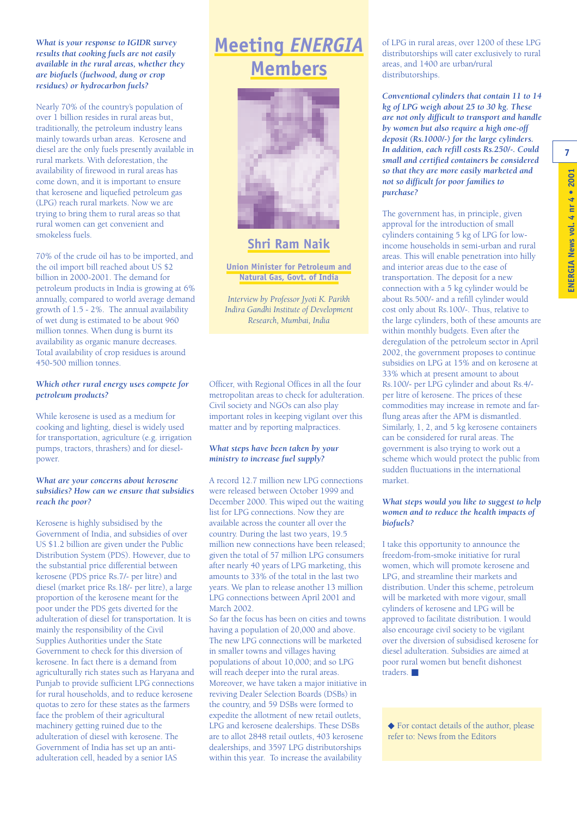#### *What is your response to IGIDR survey results that cooking fuels are not easily available in the rural areas, whether they are biofuels (fuelwood, dung or crop residues) or hydrocarbon fuels?*

Nearly 70% of the country's population of over 1 billion resides in rural areas but, traditionally, the petroleum industry leans mainly towards urban areas. Kerosene and diesel are the only fuels presently available in rural markets. With deforestation, the availability of firewood in rural areas has come down, and it is important to ensure that kerosene and liquefied petroleum gas (LPG) reach rural markets. Now we are trying to bring them to rural areas so that rural women can get convenient and smokeless fuels.

70% of the crude oil has to be imported, and the oil import bill reached about US \$2 billion in 2000-2001. The demand for petroleum products in India is growing at 6% annually, compared to world average demand growth of 1.5 - 2%. The annual availability of wet dung is estimated to be about 960 million tonnes. When dung is burnt its availability as organic manure decreases. Total availability of crop residues is around 450-500 million tonnes.

#### *Which other rural energy uses compete for petroleum products?*

While kerosene is used as a medium for cooking and lighting, diesel is widely used for transportation, agriculture (e.g. irrigation pumps, tractors, thrashers) and for dieselpower.

#### *What are your concerns about kerosene subsidies? How can we ensure that subsidies reach the poor?*

Kerosene is highly subsidised by the Government of India, and subsidies of over US \$1.2 billion are given under the Public Distribution System (PDS). However, due to the substantial price differential between kerosene (PDS price Rs.7/- per litre) and diesel (market price Rs.18/- per litre), a large proportion of the kerosene meant for the poor under the PDS gets diverted for the adulteration of diesel for transportation. It is mainly the responsibility of the Civil Supplies Authorities under the State Government to check for this diversion of kerosene. In fact there is a demand from agriculturally rich states such as Haryana and Punjab to provide sufficient LPG connections for rural households, and to reduce kerosene quotas to zero for these states as the farmers face the problem of their agricultural machinery getting ruined due to the adulteration of diesel with kerosene. The Government of India has set up an antiadulteration cell, headed by a senior IAS

### **Meeting** *ENERGIA* **Members**



#### **Shri Ram Naik**

**Union Minister for Petroleum and Natural Gas, Govt. of India**

*Interview by Professor Jyoti K. Parikh Indira Gandhi Institute of Development Research, Mumbai, India*

Officer, with Regional Offices in all the four metropolitan areas to check for adulteration. Civil society and NGOs can also play important roles in keeping vigilant over this matter and by reporting malpractices.

#### *What steps have been taken by your ministry to increase fuel supply?*

A record 12.7 million new LPG connections were released between October 1999 and December 2000. This wiped out the waiting list for LPG connections. Now they are available across the counter all over the country. During the last two years, 19.5 million new connections have been released; given the total of 57 million LPG consumers after nearly 40 years of LPG marketing, this amounts to 33% of the total in the last two years. We plan to release another 13 million LPG connections between April 2001 and March 2002.

So far the focus has been on cities and towns having a population of 20,000 and above. The new LPG connections will be marketed in smaller towns and villages having populations of about 10,000; and so LPG will reach deeper into the rural areas. Moreover, we have taken a major initiative in reviving Dealer Selection Boards (DSBs) in the country, and 59 DSBs were formed to expedite the allotment of new retail outlets, LPG and kerosene dealerships. These DSBs are to allot 2848 retail outlets, 403 kerosene dealerships, and 3597 LPG distributorships within this year. To increase the availability

of LPG in rural areas, over 1200 of these LPG distributorships will cater exclusively to rural areas, and 1400 are urban/rural distributorships.

*Conventional cylinders that contain 11 to 14 kg of LPG weigh about 25 to 30 kg. These are not only difficult to transport and handle by women but also require a high one-off deposit (Rs.1000/-) for the large cylinders. In addition, each refill costs Rs.250/-. Could small and certified containers be considered so that they are more easily marketed and not so difficult for poor families to purchase?*

The government has, in principle, given approval for the introduction of small cylinders containing 5 kg of LPG for lowincome households in semi-urban and rural areas. This will enable penetration into hilly and interior areas due to the ease of transportation. The deposit for a new connection with a 5 kg cylinder would be about Rs.500/- and a refill cylinder would cost only about Rs.100/-. Thus, relative to the large cylinders, both of these amounts are within monthly budgets. Even after the deregulation of the petroleum sector in April 2002, the government proposes to continue subsidies on LPG at 15% and on kerosene at 33% which at present amount to about Rs.100/- per LPG cylinder and about Rs.4/ per litre of kerosene. The prices of these commodities may increase in remote and farflung areas after the APM is dismantled. Similarly, 1, 2, and 5 kg kerosene containers can be considered for rural areas. The government is also trying to work out a scheme which would protect the public from sudden fluctuations in the international market.

#### *What steps would you like to suggest to help women and to reduce the health impacts of biofuels?*

I take this opportunity to announce the freedom-from-smoke initiative for rural women, which will promote kerosene and LPG, and streamline their markets and distribution. Under this scheme, petroleum will be marketed with more vigour, small cylinders of kerosene and LPG will be approved to facilitate distribution. I would also encourage civil society to be vigilant over the diversion of subsidised kerosene for diesel adulteration. Subsidies are aimed at poor rural women but benefit dishonest traders. ■

◆ For contact details of the author, please refer to: News from the Editors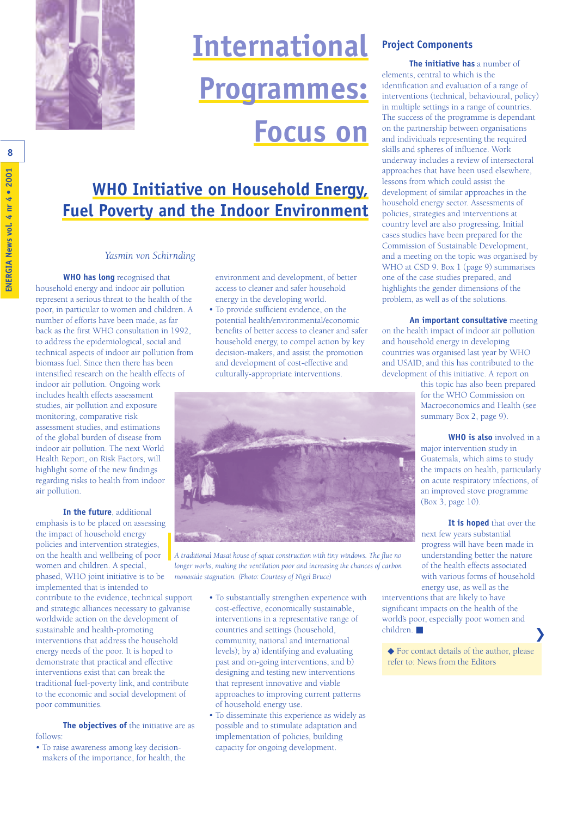

# **International Programmes: Focus on**

### **WHO Initiative on Household Energy, Fuel Poverty and the Indoor Environment**

#### *Yasmin von Schirnding*

**WHO has long** recognised that household energy and indoor air pollution represent a serious threat to the health of the poor, in particular to women and children. A number of efforts have been made, as far back as the first WHO consultation in 1992, to address the epidemiological, social and technical aspects of indoor air pollution from biomass fuel. Since then there has been intensified research on the health effects of indoor air pollution. Ongoing work includes health effects assessment studies, air pollution and exposure monitoring, comparative risk assessment studies, and estimations of the global burden of disease from indoor air pollution. The next World Health Report, on Risk Factors, will highlight some of the new findings regarding risks to health from indoor air pollution.

#### **In the future**, additional

emphasis is to be placed on assessing the impact of household energy policies and intervention strategies, on the health and wellbeing of poor women and children. A special, phased, WHO joint initiative is to be implemented that is intended to contribute to the evidence, technical support and strategic alliances necessary to galvanise worldwide action on the development of sustainable and health-promoting interventions that address the household energy needs of the poor. It is hoped to demonstrate that practical and effective interventions exist that can break the traditional fuel-poverty link, and contribute to the economic and social development of poor communities.

#### **The objectives of** the initiative are as follows:

• To raise awareness among key decisionmakers of the importance, for health, the environment and development, of better access to cleaner and safer household energy in the developing world.

• To provide sufficient evidence, on the potential health/environmental/economic benefits of better access to cleaner and safer household energy, to compel action by key decision-makers, and assist the promotion and development of cost-effective and culturally-appropriate interventions.



*A traditional Masai house of squat construction with tiny windows. The flue no longer works, making the ventilation poor and increasing the chances of carbon monoxide stagnation. (Photo: Courtesy of Nigel Bruce)*

- To substantially strengthen experience with cost-effective, economically sustainable, interventions in a representative range of countries and settings (household, community, national and international levels); by a) identifying and evaluating past and on-going interventions, and b) designing and testing new interventions that represent innovative and viable approaches to improving current patterns of household energy use.
- To disseminate this experience as widely as possible and to stimulate adaptation and implementation of policies, building capacity for ongoing development.

#### **Project Components**

**The initiative has** a number of elements, central to which is the identification and evaluation of a range of interventions (technical, behavioural, policy) in multiple settings in a range of countries. The success of the programme is dependant on the partnership between organisations and individuals representing the required skills and spheres of influence. Work underway includes a review of intersectoral approaches that have been used elsewhere, lessons from which could assist the development of similar approaches in the household energy sector. Assessments of policies, strategies and interventions at country level are also progressing. Initial cases studies have been prepared for the Commission of Sustainable Development, and a meeting on the topic was organised by WHO at CSD 9. Box 1 (page 9) summarises one of the case studies prepared, and highlights the gender dimensions of the problem, as well as of the solutions.

**An important consultative** meeting on the health impact of indoor air pollution and household energy in developing countries was organised last year by WHO and USAID, and this has contributed to the development of this initiative. A report on

> this topic has also been prepared for the WHO Commission on Macroeconomics and Health (see summary Box 2, page 9).

**WHO is also** involved in a major intervention study in Guatemala, which aims to study the impacts on health, particularly on acute respiratory infections, of an improved stove programme (Box 3, page 10).

**It is hoped** that over the next few years substantial progress will have been made in understanding better the nature of the health effects associated with various forms of household energy use, as well as the

 $\blacktriangleright$ 

interventions that are likely to have significant impacts on the health of the world's poor, especially poor women and children. ■

◆ For contact details of the author, please refer to: News from the Editors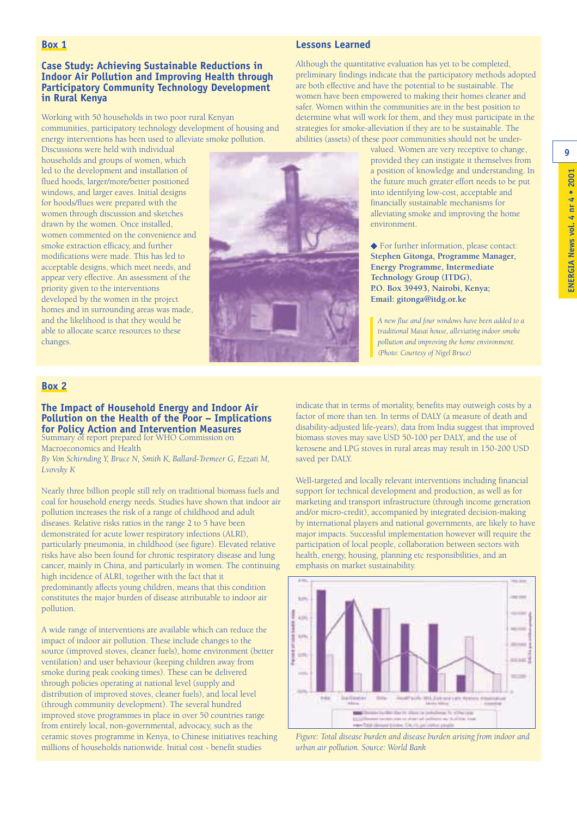#### **Case Study: Achieving Sustainable Reductions in Indoor Air Pollution and Improving Health through Participatory Community Technology Development in Rural Kenya**

Working with 50 households in two poor rural Kenyan communities, participatory technology development of housing and

energy interventions has been used to alleviate smoke pollution.

Discussions were held with individual households and groups of women, which led to the development and installation of flued hoods, larger/more/better positioned windows, and larger eaves. Initial designs for hoods/flues were prepared with the women through discussion and sketches drawn by the women. Once installed, women commented on the convenience and smoke extraction efficacy, and further modifications were made. This has led to acceptable designs, which meet needs, and appear very effective. An assessment of the priority given to the interventions developed by the women in the project homes and in surrounding areas was made, and the likelihood is that they would be able to allocate scarce resources to these changes.

#### **Lessons Learned**

Although the quantitative evaluation has yet to be completed, preliminary findings indicate that the participatory methods adopted are both effective and have the potential to be sustainable. The women have been empowered to making their homes cleaner and safer. Women within the communities are in the best position to determine what will work for them, and they must participate in the strategies for smoke-alleviation if they are to be sustainable. The abilities (assets) of these poor communities should not be under-

> valued. Women are very receptive to change, provided they can instigate it themselves from a position of knowledge and understanding. In the future much greater effort needs to be put into identifying low-cost, acceptable and financially sustainable mechanisms for alleviating smoke and improving the home environment.

◆ For further information, please contact: **Stephen Gitonga, Programme Manager, Energy Programme, Intermediate Technology Group (ITDG), P.O. Box 39493, Nairobi, Kenya; Email: gitonga@itdg.or.ke**

*A new flue and four windows have been added to a traditional Masai house, alleviating indoor smoke pollution and improving the home environment. (Photo: Courtesy of Nigel Bruce)*

#### **Box 2**

#### **The Impact of Household Energy and Indoor Air Pollution on the Health of the Poor – Implications for Policy Action and Intervention Measures**

Summary of report prepared for WHO Commission on Macroeconomics and Health

*By Von Schirnding Y, Bruce N, Smith K, Ballard-Tremeer G, Ezzati M, Lvovsky K*

Nearly three billion people still rely on traditional biomass fuels and coal for household energy needs. Studies have shown that indoor air pollution increases the risk of a range of childhood and adult diseases. Relative risks ratios in the range 2 to 5 have been demonstrated for acute lower respiratory infections (ALRI), particularly pneumonia, in childhood (see figure). Elevated relative risks have also been found for chronic respiratory disease and lung cancer, mainly in China, and particularly in women. The continuing high incidence of ALRI, together with the fact that it predominantly affects young children, means that this condition constitutes the major burden of disease attributable to indoor air pollution.

A wide range of interventions are available which can reduce the impact of indoor air pollution. These include changes to the source (improved stoves, cleaner fuels), home environment (better ventilation) and user behaviour (keeping children away from smoke during peak cooking times). These can be delivered through policies operating at national level (supply and distribution of improved stoves, cleaner fuels), and local level (through community development). The several hundred improved stove programmes in place in over 50 countries range from entirely local, non-governmental, advocacy, such as the ceramic stoves programme in Kenya, to Chinese initiatives reaching millions of households nationwide. Initial cost - benefit studies

indicate that in terms of mortality, benefits may outweigh costs by a factor of more than ten. In terms of DALY (a measure of death and disability-adjusted life-years), data from India suggest that improved biomass stoves may save USD 50-100 per DALY, and the use of kerosene and LPG stoves in rural areas may result in 150-200 USD saved per DALY.

Well-targeted and locally relevant interventions including financial support for technical development and production, as well as for marketing and transport infrastructure (through income generation and/or micro-credit), accompanied by integrated decision-making by international players and national governments, are likely to have major impacts. Successful implementation however will require the participation of local people, collaboration between sectors with health, energy, housing, planning etc responsibilities, and an emphasis on market sustainability.





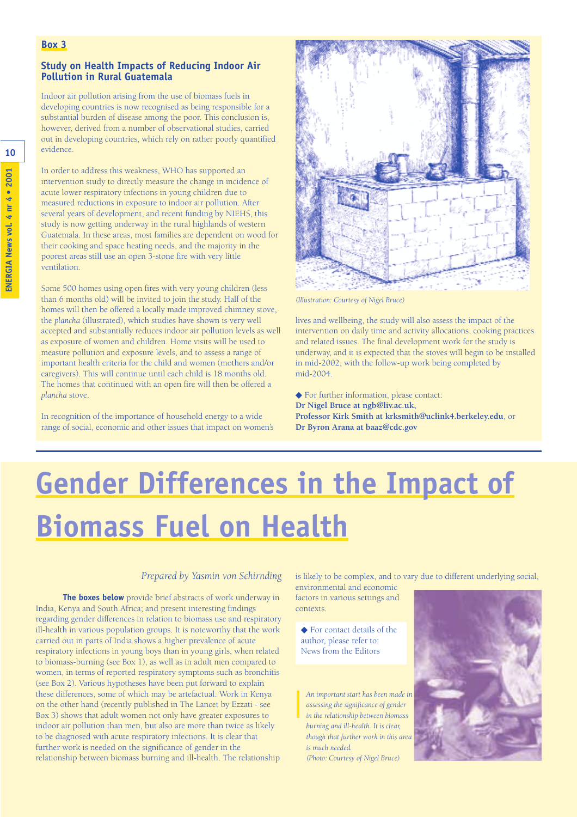#### **Study on Health Impacts of Reducing Indoor Air Pollution in Rural Guatemala**

Indoor air pollution arising from the use of biomass fuels in developing countries is now recognised as being responsible for a substantial burden of disease among the poor. This conclusion is, however, derived from a number of observational studies, carried out in developing countries, which rely on rather poorly quantified evidence.

In order to address this weakness, WHO has supported an intervention study to directly measure the change in incidence of acute lower respiratory infections in young children due to measured reductions in exposure to indoor air pollution. After several years of development, and recent funding by NIEHS, this study is now getting underway in the rural highlands of western Guatemala. In these areas, most families are dependent on wood for their cooking and space heating needs, and the majority in the poorest areas still use an open 3-stone fire with very little ventilation.

Some 500 homes using open fires with very young children (less than 6 months old) will be invited to join the study. Half of the homes will then be offered a locally made improved chimney stove, the *plancha* (illustrated), which studies have shown is very well accepted and substantially reduces indoor air pollution levels as well as exposure of women and children. Home visits will be used to measure pollution and exposure levels, and to assess a range of important health criteria for the child and women (mothers and/or caregivers). This will continue until each child is 18 months old. The homes that continued with an open fire will then be offered a *plancha* stove.

In recognition of the importance of household energy to a wide range of social, economic and other issues that impact on women's



*(Illustration: Courtesy of Nigel Bruce)*

lives and wellbeing, the study will also assess the impact of the intervention on daily time and activity allocations, cooking practices and related issues. The final development work for the study is underway, and it is expected that the stoves will begin to be installed in mid-2002, with the follow-up work being completed by mid-2004.

◆ For further information, please contact: **Dr Nigel Bruce at ngb@liv.ac.uk, Professor Kirk Smith at krksmith@uclink4.berkeley.edu**, or **Dr Byron Arana at baaz@cdc.gov**

# **Gender Differences in the Impact of Biomass Fuel on Health**

#### *Prepared by Yasmin von Schirnding*

**The boxes below** provide brief abstracts of work underway in India, Kenya and South Africa; and present interesting findings regarding gender differences in relation to biomass use and respiratory ill-health in various population groups. It is noteworthy that the work carried out in parts of India shows a higher prevalence of acute respiratory infections in young boys than in young girls, when related to biomass-burning (see Box 1), as well as in adult men compared to women, in terms of reported respiratory symptoms such as bronchitis (see Box 2). Various hypotheses have been put forward to explain these differences, some of which may be artefactual. Work in Kenya on the other hand (recently published in The Lancet by Ezzati - see Box 3) shows that adult women not only have greater exposures to indoor air pollution than men, but also are more than twice as likely to be diagnosed with acute respiratory infections. It is clear that further work is needed on the significance of gender in the relationship between biomass burning and ill-health. The relationship

is likely to be complex, and to vary due to different underlying social,

environmental and economic factors in various settings and contexts.

◆ For contact details of the author, please refer to: News from the Editors

*An important start has been made in assessing the significance of gender in the relationship between biomass burning and ill-health. It is clear, though that further work in this area is much needed.* 

*(Photo: Courtesy of Nigel Bruce)*

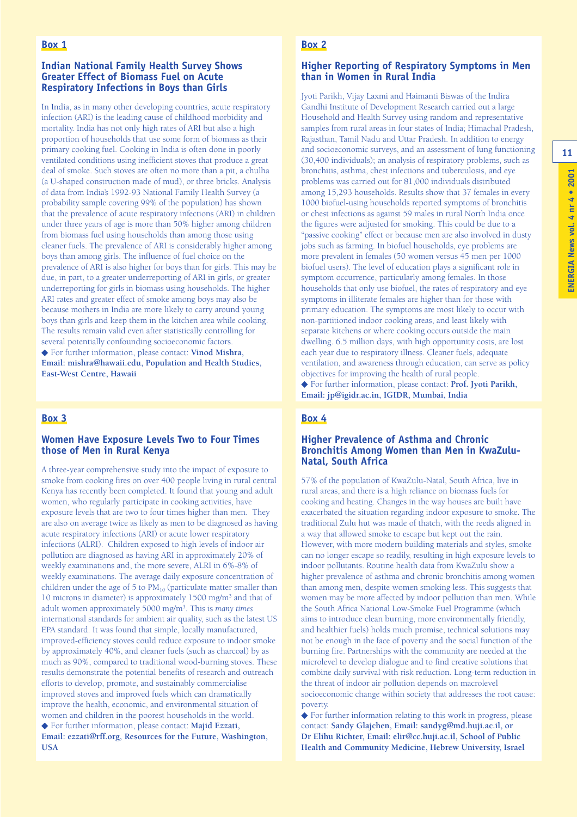#### **Indian National Family Health Survey Shows Greater Effect of Biomass Fuel on Acute Respiratory Infections in Boys than Girls**

In India, as in many other developing countries, acute respiratory infection (ARI) is the leading cause of childhood morbidity and mortality. India has not only high rates of ARI but also a high proportion of households that use some form of biomass as their primary cooking fuel. Cooking in India is often done in poorly ventilated conditions using inefficient stoves that produce a great deal of smoke. Such stoves are often no more than a pit, a chulha (a U-shaped construction made of mud), or three bricks. Analysis of data from India's 1992-93 National Family Health Survey (a probability sample covering 99% of the population) has shown that the prevalence of acute respiratory infections (ARI) in children under three years of age is more than 50% higher among children from biomass fuel using households than among those using cleaner fuels. The prevalence of ARI is considerably higher among boys than among girls. The influence of fuel choice on the prevalence of ARI is also higher for boys than for girls. This may be due, in part, to a greater underreporting of ARI in girls, or greater underreporting for girls in biomass using households. The higher ARI rates and greater effect of smoke among boys may also be because mothers in India are more likely to carry around young boys than girls and keep them in the kitchen area while cooking. The results remain valid even after statistically controlling for several potentially confounding socioeconomic factors. ◆ For further information, please contact: **Vinod Mishra,**

**Email: mishra@hawaii.edu, Population and Health Studies, East-West Centre, Hawaii**

#### **Box 3**

#### **Women Have Exposure Levels Two to Four Times those of Men in Rural Kenya**

A three-year comprehensive study into the impact of exposure to smoke from cooking fires on over 400 people living in rural central Kenya has recently been completed. It found that young and adult women, who regularly participate in cooking activities, have exposure levels that are two to four times higher than men. They are also on average twice as likely as men to be diagnosed as having acute respiratory infections (ARI) or acute lower respiratory infections (ALRI). Children exposed to high levels of indoor air pollution are diagnosed as having ARI in approximately 20% of weekly examinations and, the more severe, ALRI in 6%-8% of weekly examinations. The average daily exposure concentration of children under the age of 5 to  $PM_{10}$  (particulate matter smaller than 10 microns in diameter) is approximately 1500 mg/m3 and that of adult women approximately 5000 mg/m3 . This is *many times* international standards for ambient air quality, such as the latest US EPA standard. It was found that simple, locally manufactured, improved-efficiency stoves could reduce exposure to indoor smoke by approximately 40%, and cleaner fuels (such as charcoal) by as much as 90%, compared to traditional wood-burning stoves. These results demonstrate the potential benefits of research and outreach efforts to develop, promote, and sustainably commercialise improved stoves and improved fuels which can dramatically improve the health, economic, and environmental situation of women and children in the poorest households in the world. ◆ For further information, please contact: **Majid Ezzati, Email: ezzati@rff.org, Resources for the Future, Washington, USA**

#### **Box 2**

#### **Higher Reporting of Respiratory Symptoms in Men than in Women in Rural India**

Jyoti Parikh, Vijay Laxmi and Haimanti Biswas of the Indira Gandhi Institute of Development Research carried out a large Household and Health Survey using random and representative samples from rural areas in four states of India; Himachal Pradesh, Rajasthan, Tamil Nadu and Uttar Pradesh. In addition to energy and socioeconomic surveys, and an assessment of lung functioning (30,400 individuals); an analysis of respiratory problems, such as bronchitis, asthma, chest infections and tuberculosis, and eye problems was carried out for 81,000 individuals distributed among 15,293 households. Results show that 37 females in every 1000 biofuel-using households reported symptoms of bronchitis or chest infections as against 59 males in rural North India once the figures were adjusted for smoking. This could be due to a "passive cooking" effect or because men are also involved in dusty jobs such as farming. In biofuel households, eye problems are more prevalent in females (50 women versus 45 men per 1000 biofuel users). The level of education plays a significant role in symptom occurrence, particularly among females. In those households that only use biofuel, the rates of respiratory and eye symptoms in illiterate females are higher than for those with primary education. The symptoms are most likely to occur with non-partitioned indoor cooking areas, and least likely with separate kitchens or where cooking occurs outside the main dwelling. 6.5 million days, with high opportunity costs, are lost each year due to respiratory illness. Cleaner fuels, adequate ventilation, and awareness through education, can serve as policy objectives for improving the health of rural people. ◆ For further information, please contact: **Prof. Jyoti Parikh, Email: jp@igidr.ac.in, IGIDR, Mumbai, India**

#### **Box 4**

#### **Higher Prevalence of Asthma and Chronic Bronchitis Among Women than Men in KwaZulu-Natal, South Africa**

57% of the population of KwaZulu-Natal, South Africa, live in rural areas, and there is a high reliance on biomass fuels for cooking and heating. Changes in the way houses are built have exacerbated the situation regarding indoor exposure to smoke. The traditional Zulu hut was made of thatch, with the reeds aligned in a way that allowed smoke to escape but kept out the rain. However, with more modern building materials and styles, smoke can no longer escape so readily, resulting in high exposure levels to indoor pollutants. Routine health data from KwaZulu show a higher prevalence of asthma and chronic bronchitis among women than among men, despite women smoking less. This suggests that women may be more affected by indoor pollution than men. While the South Africa National Low-Smoke Fuel Programme (which aims to introduce clean burning, more environmentally friendly, and healthier fuels) holds much promise, technical solutions may not be enough in the face of poverty and the social function of the burning fire. Partnerships with the community are needed at the microlevel to develop dialogue and to find creative solutions that combine daily survival with risk reduction. Long-term reduction in the threat of indoor air pollution depends on macrolevel socioeconomic change within society that addresses the root cause: poverty.

◆ For further information relating to this work in progress, please contact: **Sandy Glajchen, Email: sandyg@md.huji.ac.il, or Dr Elihu Richter, Email: elir@cc.huji.ac.il, School of Public Health and Community Medicine, Hebrew University, Israel**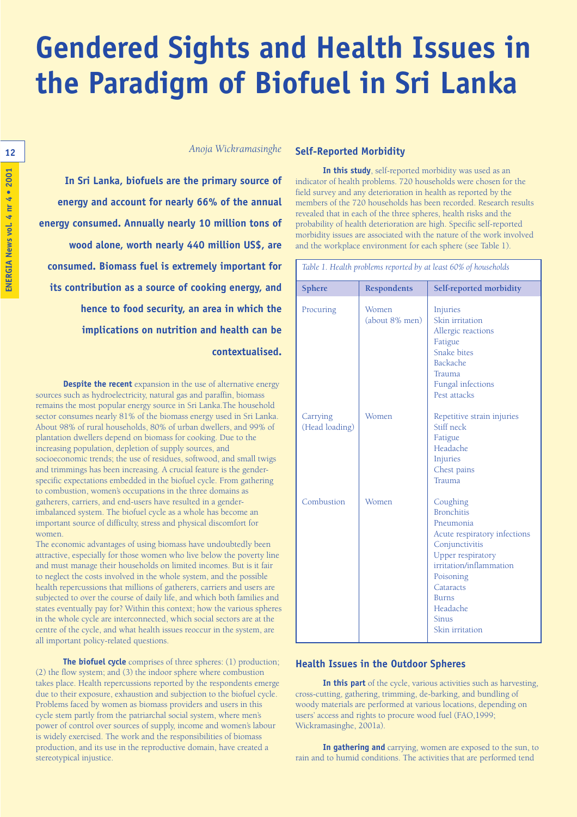## **Gendered Sights and Health Issues in the Paradigm of Biofuel in Sri Lanka**

#### *Anoja Wickramasinghe*

**In Sri Lanka, biofuels are the primary source of energy and account for nearly 66% of the annual energy consumed. Annually nearly 10 million tons of wood alone, worth nearly 440 million US\$, are consumed. Biomass fuel is extremely important for its contribution as a source of cooking energy, and hence to food security, an area in which the implications on nutrition and health can be contextualised.**

**Despite the recent** expansion in the use of alternative energy sources such as hydroelectricity, natural gas and paraffin, biomass remains the most popular energy source in Sri Lanka.The household sector consumes nearly 81% of the biomass energy used in Sri Lanka. About 98% of rural households, 80% of urban dwellers, and 99% of plantation dwellers depend on biomass for cooking. Due to the increasing population, depletion of supply sources, and socioeconomic trends; the use of residues, softwood, and small twigs and trimmings has been increasing. A crucial feature is the genderspecific expectations embedded in the biofuel cycle. From gathering to combustion, women's occupations in the three domains as gatherers, carriers, and end-users have resulted in a genderimbalanced system. The biofuel cycle as a whole has become an important source of difficulty, stress and physical discomfort for women.

The economic advantages of using biomass have undoubtedly been attractive, especially for those women who live below the poverty line and must manage their households on limited incomes. But is it fair to neglect the costs involved in the whole system, and the possible health repercussions that millions of gatherers, carriers and users are subjected to over the course of daily life, and which both families and states eventually pay for? Within this context; how the various spheres in the whole cycle are interconnected, which social sectors are at the centre of the cycle, and what health issues reoccur in the system, are all important policy-related questions.

**The biofuel cycle** comprises of three spheres: (1) production; (2) the flow system; and (3) the indoor sphere where combustion takes place. Health repercussions reported by the respondents emerge due to their exposure, exhaustion and subjection to the biofuel cycle. Problems faced by women as biomass providers and users in this cycle stem partly from the patriarchal social system, where men's power of control over sources of supply, income and women's labour is widely exercised. The work and the responsibilities of biomass production, and its use in the reproductive domain, have created a stereotypical injustice.

#### **Self-Reported Morbidity**

**In this study**, self-reported morbidity was used as an indicator of health problems. 720 households were chosen for the field survey and any deterioration in health as reported by the members of the 720 households has been recorded. Research results revealed that in each of the three spheres, health risks and the probability of health deterioration are high. Specific self-reported morbidity issues are associated with the nature of the work involved and the workplace environment for each sphere (see Table 1).

| Table 1. Health problems reported by at least 60% of households |                         |                                                                                                                                                                                                                                              |  |  |
|-----------------------------------------------------------------|-------------------------|----------------------------------------------------------------------------------------------------------------------------------------------------------------------------------------------------------------------------------------------|--|--|
| <b>Sphere</b>                                                   | <b>Respondents</b>      | Self-reported morbidity                                                                                                                                                                                                                      |  |  |
| Procuring                                                       | Women<br>(about 8% men) | Injuries<br>Skin irritation<br>Allergic reactions<br>Fatigue<br><b>Snake</b> bites<br>Backache<br>Trauma<br><b>Fungal infections</b><br>Pest attacks                                                                                         |  |  |
| Carrying<br>(Head loading)                                      | Women                   | Repetitive strain injuries<br>Stiff neck<br>Fatigue<br>Headache<br>Injuries<br>Chest pains<br>Trauma                                                                                                                                         |  |  |
| Combustion                                                      | Women                   | Coughing<br><b>Bronchitis</b><br>Pneumonia<br>Acute respiratory infections<br>Conjunctivitis<br><b>Upper respiratory</b><br>irritation/inflammation<br>Poisoning<br>Cataracts<br><b>Burns</b><br>Headache<br><b>Sinus</b><br>Skin irritation |  |  |

#### **Health Issues in the Outdoor Spheres**

**In this part** of the cycle, various activities such as harvesting, cross-cutting, gathering, trimming, de-barking, and bundling of woody materials are performed at various locations, depending on users' access and rights to procure wood fuel (FAO,1999; Wickramasinghe, 2001a).

**In gathering and** carrying, women are exposed to the sun, to rain and to humid conditions. The activities that are performed tend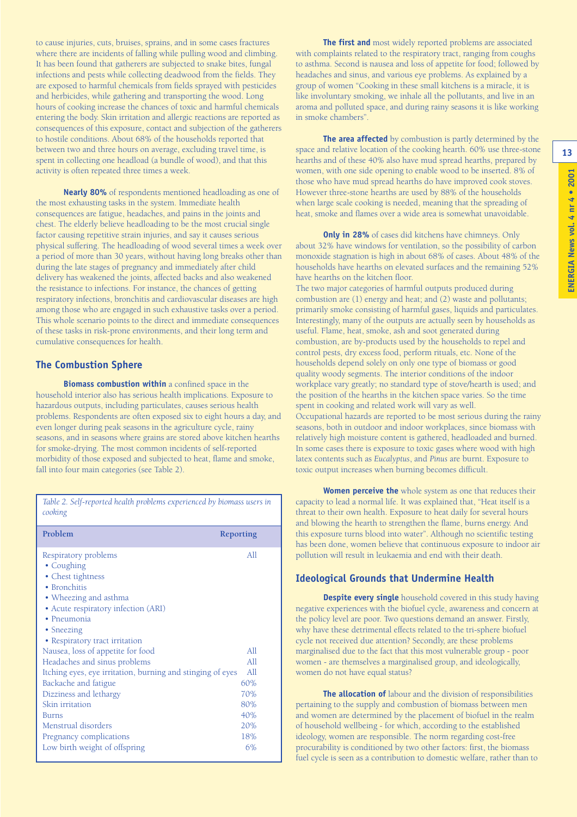to cause injuries, cuts, bruises, sprains, and in some cases fractures where there are incidents of falling while pulling wood and climbing. It has been found that gatherers are subjected to snake bites, fungal infections and pests while collecting deadwood from the fields. They are exposed to harmful chemicals from fields sprayed with pesticides and herbicides, while gathering and transporting the wood. Long hours of cooking increase the chances of toxic and harmful chemicals entering the body. Skin irritation and allergic reactions are reported as consequences of this exposure, contact and subjection of the gatherers to hostile conditions. About 68% of the households reported that between two and three hours on average, excluding travel time, is spent in collecting one headload (a bundle of wood), and that this activity is often repeated three times a week.

**Nearly 80%** of respondents mentioned headloading as one of the most exhausting tasks in the system. Immediate health consequences are fatigue, headaches, and pains in the joints and chest. The elderly believe headloading to be the most crucial single factor causing repetitive strain injuries, and say it causes serious physical suffering. The headloading of wood several times a week over a period of more than 30 years, without having long breaks other than during the late stages of pregnancy and immediately after child delivery has weakened the joints, affected backs and also weakened the resistance to infections. For instance, the chances of getting respiratory infections, bronchitis and cardiovascular diseases are high among those who are engaged in such exhaustive tasks over a period. This whole scenario points to the direct and immediate consequences of these tasks in risk-prone environments, and their long term and cumulative consequences for health.

#### **The Combustion Sphere**

*cooking*

**Biomass combustion within** a confined space in the household interior also has serious health implications. Exposure to hazardous outputs, including particulates, causes serious health problems. Respondents are often exposed six to eight hours a day, and even longer during peak seasons in the agriculture cycle, rainy seasons, and in seasons where grains are stored above kitchen hearths for smoke-drying. The most common incidents of self-reported morbidity of those exposed and subjected to heat, flame and smoke, fall into four main categories (see Table 2).

*Table 2. Self-reported health problems experienced by biomass users in*

| ပ                                                                                                                                                                                                                                                                                           |                                                      |
|---------------------------------------------------------------------------------------------------------------------------------------------------------------------------------------------------------------------------------------------------------------------------------------------|------------------------------------------------------|
| Problem                                                                                                                                                                                                                                                                                     | <b>Reporting</b>                                     |
| Respiratory problems<br>• Coughing<br>• Chest tightness<br>• Bronchitis<br>• Wheezing and asthma<br>• Acute respiratory infection (ARI)<br>• Pneumonia                                                                                                                                      | All                                                  |
| • Sneezing<br>• Respiratory tract irritation<br>Nausea, loss of appetite for food<br>Headaches and sinus problems<br>Itching eyes, eye irritation, burning and stinging of eyes<br>Backache and fatigue<br>Dizziness and lethargy<br>Skin irritation<br><b>Burns</b><br>Menstrual disorders | All<br>All<br>All<br>60%<br>70%<br>80%<br>40%<br>20% |
| Pregnancy complications<br>Low birth weight of offspring                                                                                                                                                                                                                                    | 18%<br>6%                                            |

**The first and** most widely reported problems are associated with complaints related to the respiratory tract, ranging from coughs to asthma. Second is nausea and loss of appetite for food; followed by headaches and sinus, and various eye problems. As explained by a group of women "Cooking in these small kitchens is a miracle, it is like involuntary smoking, we inhale all the pollutants, and live in an aroma and polluted space, and during rainy seasons it is like working in smoke chambers".

**The area affected** by combustion is partly determined by the space and relative location of the cooking hearth. 60% use three-stone hearths and of these 40% also have mud spread hearths, prepared by women, with one side opening to enable wood to be inserted. 8% of those who have mud spread hearths do have improved cook stoves. However three-stone hearths are used by 88% of the households when large scale cooking is needed, meaning that the spreading of heat, smoke and flames over a wide area is somewhat unavoidable.

**Only in 28%** of cases did kitchens have chimneys. Only about 32% have windows for ventilation, so the possibility of carbon monoxide stagnation is high in about 68% of cases. About 48% of the households have hearths on elevated surfaces and the remaining 52% have hearths on the kitchen floor.

The two major categories of harmful outputs produced during combustion are (1) energy and heat; and (2) waste and pollutants; primarily smoke consisting of harmful gases, liquids and particulates. Interestingly, many of the outputs are actually seen by households as useful. Flame, heat, smoke, ash and soot generated during combustion, are by-products used by the households to repel and control pests, dry excess food, perform rituals, etc. None of the households depend solely on only one type of biomass or good quality woody segments. The interior conditions of the indoor workplace vary greatly; no standard type of stove/hearth is used; and the position of the hearths in the kitchen space varies. So the time spent in cooking and related work will vary as well. Occupational hazards are reported to be most serious during the rainy seasons, both in outdoor and indoor workplaces, since biomass with relatively high moisture content is gathered, headloaded and burned. In some cases there is exposure to toxic gases where wood with high latex contents such as *Eucalyptus*, and *Pinus* are burnt. Exposure to toxic output increases when burning becomes difficult.

**Women perceive the** whole system as one that reduces their capacity to lead a normal life. It was explained that, "Heat itself is a threat to their own health. Exposure to heat daily for several hours and blowing the hearth to strengthen the flame, burns energy. And this exposure turns blood into water". Although no scientific testing has been done, women believe that continuous exposure to indoor air pollution will result in leukaemia and end with their death.

#### **Ideological Grounds that Undermine Health**

**Despite every single** household covered in this study having negative experiences with the biofuel cycle, awareness and concern at the policy level are poor. Two questions demand an answer. Firstly, why have these detrimental effects related to the tri-sphere biofuel cycle not received due attention? Secondly, are these problems marginalised due to the fact that this most vulnerable group - poor women - are themselves a marginalised group, and ideologically, women do not have equal status?

**The allocation of** labour and the division of responsibilities pertaining to the supply and combustion of biomass between men and women are determined by the placement of biofuel in the realm of household wellbeing - for which, according to the established ideology, women are responsible. The norm regarding cost-free procurability is conditioned by two other factors: first, the biomass fuel cycle is seen as a contribution to domestic welfare, rather than to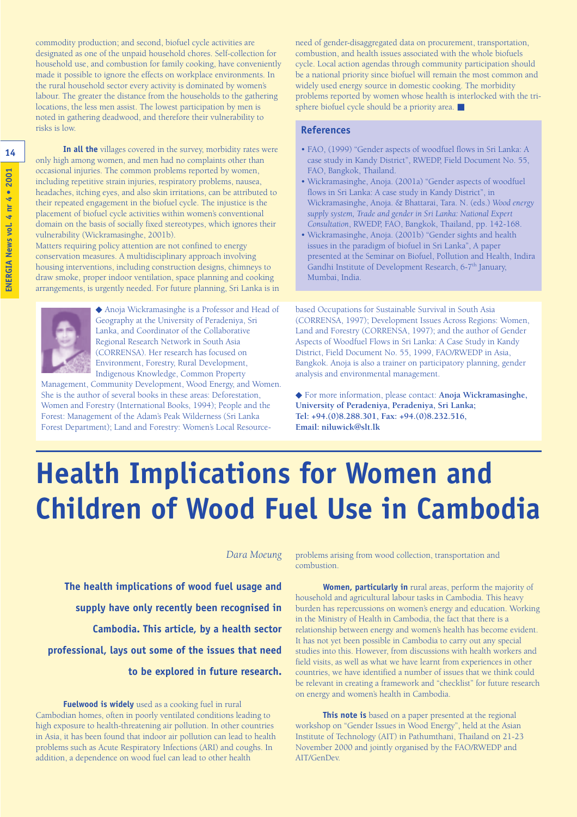commodity production; and second, biofuel cycle activities are designated as one of the unpaid household chores. Self-collection for household use, and combustion for family cooking, have conveniently made it possible to ignore the effects on workplace environments. In the rural household sector every activity is dominated by women's labour. The greater the distance from the households to the gathering locations, the less men assist. The lowest participation by men is noted in gathering deadwood, and therefore their vulnerability to risks is low.

**In all the** villages covered in the survey, morbidity rates were only high among women, and men had no complaints other than occasional injuries. The common problems reported by women, including repetitive strain injuries, respiratory problems, nausea, headaches, itching eyes, and also skin irritations, can be attributed to their repeated engagement in the biofuel cycle. The injustice is the placement of biofuel cycle activities within women's conventional domain on the basis of socially fixed stereotypes, which ignores their vulnerability (Wickramasinghe, 2001b).

Matters requiring policy attention are not confined to energy conservation measures. A multidisciplinary approach involving housing interventions, including construction designs, chimneys to draw smoke, proper indoor ventilation, space planning and cooking arrangements, is urgently needed. For future planning, Sri Lanka is in



◆ Anoja Wickramasinghe is a Professor and Head of Geography at the University of Peradeniya, Sri Lanka, and Coordinator of the Collaborative Regional Research Network in South Asia (CORRENSA). Her research has focused on Environment, Forestry, Rural Development, Indigenous Knowledge, Common Property

Management, Community Development, Wood Energy, and Women. She is the author of several books in these areas: Deforestation, Women and Forestry (International Books, 1994); People and the Forest: Management of the Adam's Peak Wilderness (Sri Lanka Forest Department); Land and Forestry: Women's Local Resource-

need of gender-disaggregated data on procurement, transportation, combustion, and health issues associated with the whole biofuels cycle. Local action agendas through community participation should be a national priority since biofuel will remain the most common and widely used energy source in domestic cooking. The morbidity problems reported by women whose health is interlocked with the trisphere biofuel cycle should be a priority area. ■

#### **References**

- FAO, (1999) "Gender aspects of woodfuel flows in Sri Lanka: A case study in Kandy District", RWEDP, Field Document No. 55, FAO, Bangkok, Thailand.
- Wickramasinghe, Anoja. (2001a) "Gender aspects of woodfuel flows in Sri Lanka: A case study in Kandy District", in Wickramasinghe, Anoja. & Bhattarai, Tara. N. (eds.) *Wood energy supply system, Trade and gender in Sri Lanka: National Expert Consultation*, RWEDP, FAO, Bangkok, Thailand, pp. 142-168.
- Wickramasinghe, Anoja. (2001b) "Gender sights and health issues in the paradigm of biofuel in Sri Lanka", A paper presented at the Seminar on Biofuel, Pollution and Health, Indira Gandhi Institute of Development Research, 6-7<sup>th</sup> January, Mumbai, India.

based Occupations for Sustainable Survival in South Asia (CORRENSA, 1997); Development Issues Across Regions: Women, Land and Forestry (CORRENSA, 1997); and the author of Gender Aspects of Woodfuel Flows in Sri Lanka: A Case Study in Kandy District, Field Document No. 55, 1999, FAO/RWEDP in Asia, Bangkok. Anoja is also a trainer on participatory planning, gender analysis and environmental management.

◆ For more information, please contact: **Anoja Wickramasinghe, University of Peradeniya, Peradeniya, Sri Lanka; Tel: +94.(0)8.288.301, Fax: +94.(0)8.232.516, Email: niluwick@slt.lk**

### **Health Implications for Women and Children of Wood Fuel Use in Cambodia**

#### *Dara Moeung*

**The health implications of wood fuel usage and supply have only recently been recognised in Cambodia. This article, by a health sector professional, lays out some of the issues that need to be explored in future research.**

**Fuelwood is widely** used as a cooking fuel in rural Cambodian homes, often in poorly ventilated conditions leading to high exposure to health-threatening air pollution. In other countries in Asia, it has been found that indoor air pollution can lead to health problems such as Acute Respiratory Infections (ARI) and coughs. In addition, a dependence on wood fuel can lead to other health

problems arising from wood collection, transportation and combustion.

**Women, particularly in** rural areas, perform the majority of household and agricultural labour tasks in Cambodia. This heavy burden has repercussions on women's energy and education. Working in the Ministry of Health in Cambodia, the fact that there is a relationship between energy and women's health has become evident. It has not yet been possible in Cambodia to carry out any special studies into this. However, from discussions with health workers and field visits, as well as what we have learnt from experiences in other countries, we have identified a number of issues that we think could be relevant in creating a framework and "checklist" for future research on energy and women's health in Cambodia.

**This note is** based on a paper presented at the regional workshop on "Gender Issues in Wood Energy", held at the Asian Institute of Technology (AIT) in Pathumthani, Thailand on 21-23 November 2000 and jointly organised by the FAO/RWEDP and AIT/GenDev.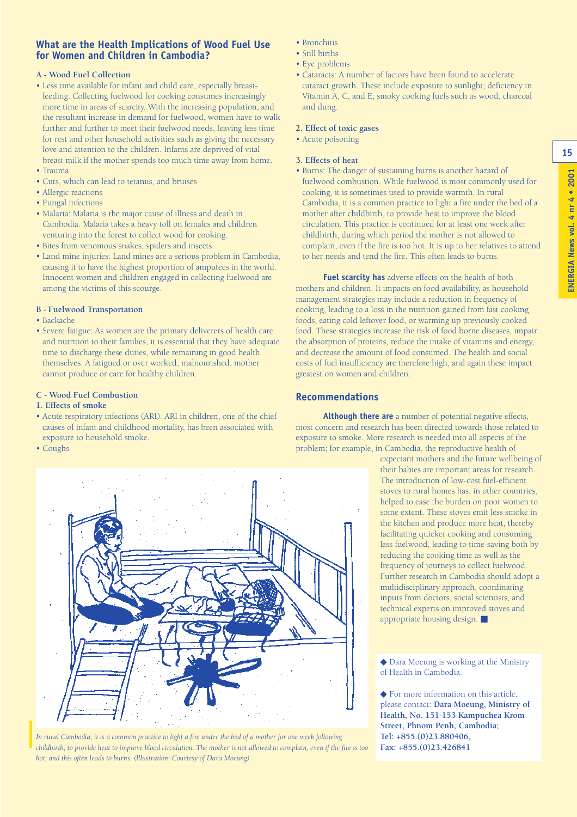**15**

#### **What are the Health Implications of Wood Fuel Use for Women and Children in Cambodia?**

#### **A - Wood Fuel Collection**

- Less time available for infant and child care, especially breastfeeding. Collecting fuelwood for cooking consumes increasingly more time in areas of scarcity. With the increasing population, and the resultant increase in demand for fuelwood, women have to walk further and further to meet their fuelwood needs, leaving less time for rest and other household activities such as giving the necessary love and attention to the children. Infants are deprived of vital breast milk if the mother spends too much time away from home. • Trauma
- Cuts, which can lead to tetanus, and bruises
- Allergic reactions
- Fungal infections
- Malaria: Malaria is the major cause of illness and death in Cambodia. Malaria takes a heavy toll on females and children venturing into the forest to collect wood for cooking.
- Bites from venomous snakes, spiders and insects.
- Land mine injuries: Land mines are a serious problem in Cambodia, causing it to have the highest proportion of amputees in the world. Innocent women and children engaged in collecting fuelwood are among the victims of this scourge.

#### **B - Fuelwood Transportation**

- Backache
- Severe fatigue: As women are the primary deliverers of health care and nutrition to their families, it is essential that they have adequate time to discharge these duties, while remaining in good health themselves. A fatigued or over worked, malnourished, mother cannot produce or care for healthy children.

#### **C - Wood Fuel Combustion**

#### **1. Effects of smoke**

- Acute respiratory infections (ARI). ARI in children, one of the chief causes of infant and childhood mortality, has been associated with exposure to household smoke.
- Coughs





- Bronchitis
- Still births
- Eye problems
- Cataracts: A number of factors have been found to accelerate cataract growth. These include exposure to sunlight; deficiency in Vitamin A, C, and E; smoky cooking fuels such as wood, charcoal and dung.

#### **2. Effect of toxic gases**

• Acute poisoning

#### **3. Effects of heat**

• Burns: The danger of sustaining burns is another hazard of fuelwood combustion. While fuelwood is most commonly used for cooking, it is sometimes used to provide warmth. In rural Cambodia, it is a common practice to light a fire under the bed of a mother after childbirth, to provide heat to improve the blood circulation. This practice is continued for at least one week after childbirth, during which period the mother is not allowed to complain, even if the fire is too hot. It is up to her relatives to attend to her needs and tend the fire. This often leads to burns.

**Fuel scarcity has** adverse effects on the health of both mothers and children. It impacts on food availability, as household management strategies may include a reduction in frequency of cooking, leading to a loss in the nutrition gained from fast cooking foods, eating cold leftover food, or warming up previously cooked food. These strategies increase the risk of food borne diseases, impair the absorption of proteins, reduce the intake of vitamins and energy, and decrease the amount of food consumed. The health and social costs of fuel insufficiency are therefore high, and again these impact greatest on women and children.

#### **Recommendations**

**Although there are** a number of potential negative effects, most concern and research has been directed towards those related to exposure to smoke. More research is needed into all aspects of the problem; for example, in Cambodia, the reproductive health of

expectant mothers and the future wellbeing of their babies are important areas for research. The introduction of low-cost fuel-efficient stoves to rural homes has, in other countries, helped to ease the burden on poor women to some extent. These stoves emit less smoke in the kitchen and produce more heat, thereby facilitating quicker cooking and consuming less fuelwood, leading to time-saving both by reducing the cooking time as well as the frequency of journeys to collect fuelwood. Further research in Cambodia should adopt a multidisciplinary approach, coordinating inputs from doctors, social scientists, and technical experts on improved stoves and appropriate housing design. ■

◆ Dara Moeung is working at the Ministry of Health in Cambodia.

◆ For more information on this article, please contact: **Dara Moeung, Ministry of Health, No. 151-153 Kampuchea Krom Street, Phnom Penh, Cambodia; Tel: +855.(0)23.880406, Fax: +855.(0)23.426841**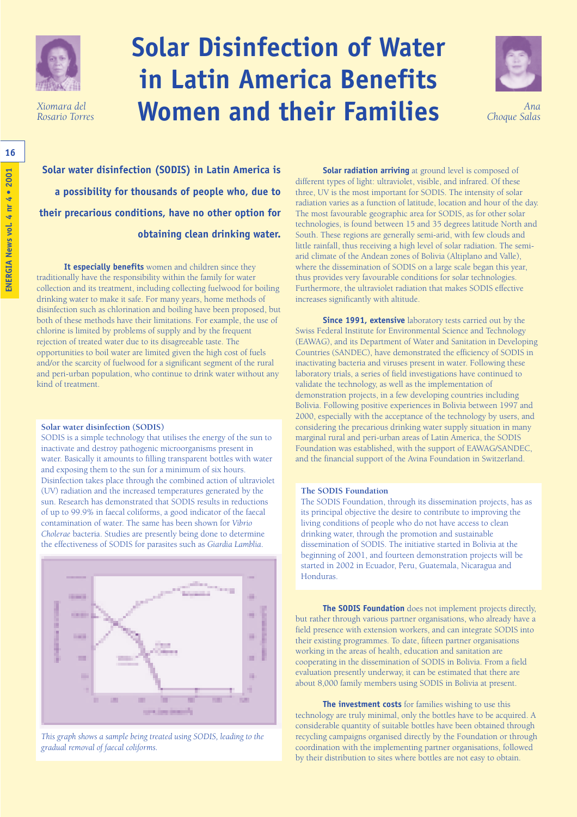

*Rosario Torres*

### **Solar Disinfection of Water in Latin America Benefits Women and their Families** *Xiomara del*



*Ana Choque Salas*

**Solar water disinfection (SODIS) in Latin America is a possibility for thousands of people who, due to their precarious conditions, have no other option for obtaining clean drinking water.**

**It especially benefits** women and children since they traditionally have the responsibility within the family for water collection and its treatment, including collecting fuelwood for boiling drinking water to make it safe. For many years, home methods of disinfection such as chlorination and boiling have been proposed, but both of these methods have their limitations. For example, the use of chlorine is limited by problems of supply and by the frequent rejection of treated water due to its disagreeable taste. The opportunities to boil water are limited given the high cost of fuels and/or the scarcity of fuelwood for a significant segment of the rural and peri-urban population, who continue to drink water without any kind of treatment.

#### **Solar water disinfection (SODIS)**

SODIS is a simple technology that utilises the energy of the sun to inactivate and destroy pathogenic microorganisms present in water. Basically it amounts to filling transparent bottles with water and exposing them to the sun for a minimum of six hours. Disinfection takes place through the combined action of ultraviolet (UV) radiation and the increased temperatures generated by the sun. Research has demonstrated that SODIS results in reductions of up to 99.9% in faecal coliforms, a good indicator of the faecal contamination of water. The same has been shown for *Vibrio Cholerae* bacteria. Studies are presently being done to determine the effectiveness of SODIS for parasites such as *Giardia Lamblia*.



*This graph shows a sample being treated using SODIS, leading to the gradual removal of faecal coliforms.*

**Solar radiation arriving** at ground level is composed of different types of light: ultraviolet, visible, and infrared. Of these three, UV is the most important for SODIS. The intensity of solar radiation varies as a function of latitude, location and hour of the day. The most favourable geographic area for SODIS, as for other solar technologies, is found between 15 and 35 degrees latitude North and South. These regions are generally semi-arid, with few clouds and little rainfall, thus receiving a high level of solar radiation. The semiarid climate of the Andean zones of Bolivia (Altiplano and Valle), where the dissemination of SODIS on a large scale began this year, thus provides very favourable conditions for solar technologies. Furthermore, the ultraviolet radiation that makes SODIS effective increases significantly with altitude.

**Since 1991, extensive** laboratory tests carried out by the Swiss Federal Institute for Environmental Science and Technology (EAWAG), and its Department of Water and Sanitation in Developing Countries (SANDEC), have demonstrated the efficiency of SODIS in inactivating bacteria and viruses present in water. Following these laboratory trials, a series of field investigations have continued to validate the technology, as well as the implementation of demonstration projects, in a few developing countries including Bolivia. Following positive experiences in Bolivia between 1997 and 2000, especially with the acceptance of the technology by users, and considering the precarious drinking water supply situation in many marginal rural and peri-urban areas of Latin America, the SODIS Foundation was established, with the support of EAWAG/SANDEC, and the financial support of the Avina Foundation in Switzerland.

#### **The SODIS Foundation**

The SODIS Foundation, through its dissemination projects, has as its principal objective the desire to contribute to improving the living conditions of people who do not have access to clean drinking water, through the promotion and sustainable dissemination of SODIS. The initiative started in Bolivia at the beginning of 2001, and fourteen demonstration projects will be started in 2002 in Ecuador, Peru, Guatemala, Nicaragua and Honduras.

**The SODIS Foundation** does not implement projects directly, but rather through various partner organisations, who already have a field presence with extension workers, and can integrate SODIS into their existing programmes. To date, fifteen partner organisations working in the areas of health, education and sanitation are cooperating in the dissemination of SODIS in Bolivia. From a field evaluation presently underway, it can be estimated that there are about 8,000 family members using SODIS in Bolivia at present.

**The investment costs** for families wishing to use this technology are truly minimal, only the bottles have to be acquired. A considerable quantity of suitable bottles have been obtained through recycling campaigns organised directly by the Foundation or through coordination with the implementing partner organisations, followed by their distribution to sites where bottles are not easy to obtain.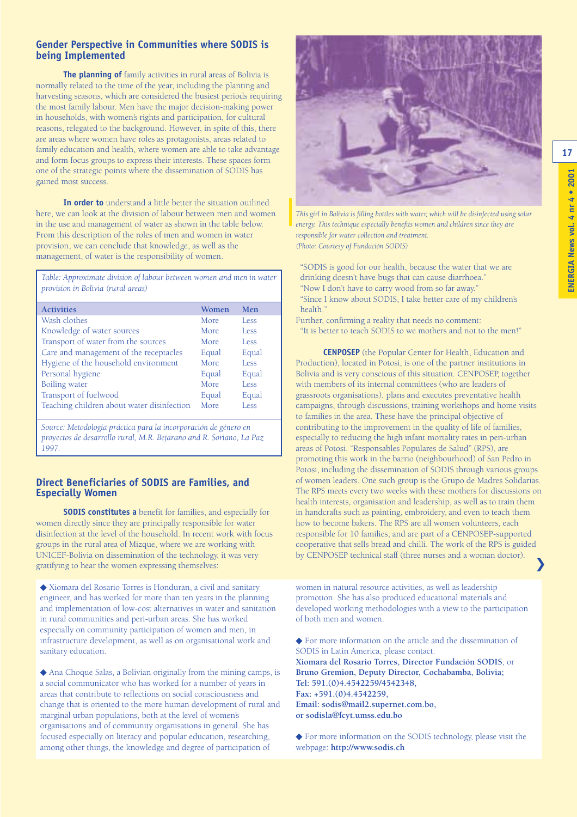#### **Gender Perspective in Communities where SODIS is being Implemented**

**The planning of** family activities in rural areas of Bolivia is normally related to the time of the year, including the planting and harvesting seasons, which are considered the busiest periods requiring the most family labour. Men have the major decision-making power in households, with women's rights and participation, for cultural reasons, relegated to the background. However, in spite of this, there are areas where women have roles as protagonists, areas related to family education and health, where women are able to take advantage and form focus groups to express their interests. These spaces form one of the strategic points where the dissemination of SODIS has gained most success.

**In order to** understand a little better the situation outlined here, we can look at the division of labour between men and women in the use and management of water as shown in the table below. From this description of the roles of men and women in water provision, we can conclude that knowledge, as well as the management, of water is the responsibility of women.

*Table: Approximate division of labour between women and men in water provision in Bolivia (rural areas)*

| <b>Activities</b>                          | Women | Men         |
|--------------------------------------------|-------|-------------|
| Wash clothes                               | More. | Less        |
| Knowledge of water sources                 | More. | <b>Less</b> |
| Transport of water from the sources        | More  | Less        |
| Care and management of the receptacles     | Equal | Equal       |
| Hygiene of the household environment       | More. | Less        |
| Personal hygiene                           | Equal | Equal       |
| Boiling water                              | More. | <b>Less</b> |
| Transport of fuelwood                      | Equal | Equal       |
| Teaching children about water disinfection | More  | Less        |
|                                            |       |             |

*Source: Metodología práctica para la incorporación de género en proyectos de desarrollo rural, M.R. Bejarano and R. Soriano, La Paz 1997.*

#### **Direct Beneficiaries of SODIS are Families, and Especially Women**

**SODIS constitutes a** benefit for families, and especially for women directly since they are principally responsible for water disinfection at the level of the household. In recent work with focus groups in the rural area of Mizque, where we are working with UNICEF-Bolivia on dissemination of the technology, it was very gratifying to hear the women expressing themselves:

◆ Xiomara del Rosario Torres is Honduran, a civil and sanitary engineer, and has worked for more than ten years in the planning and implementation of low-cost alternatives in water and sanitation in rural communities and peri-urban areas. She has worked especially on community participation of women and men, in infrastructure development, as well as on organisational work and sanitary education.

◆ Ana Choque Salas, a Bolivian originally from the mining camps, is a social communicator who has worked for a number of years in areas that contribute to reflections on social consciousness and change that is oriented to the more human development of rural and marginal urban populations, both at the level of women's organisations and of community organisations in general. She has focused especially on literacy and popular education, researching, among other things, the knowledge and degree of participation of



*This girl in Bolivia is filling bottles with water, which will be disinfected using solar energy. This technique especially benefits women and children since they are responsible for water collection and treatment. (Photo: Courtesy of Fundación SODIS)*

"SODIS is good for our health, because the water that we are drinking doesn't have bugs that can cause diarrhoea.' "Now I don't have to carry wood from so far away." "Since I know about SODIS, I take better care of my children's health."

Further, confirming a reality that needs no comment:

"It is better to teach SODIS to we mothers and not to the men!"

**CENPOSEP** (the Popular Center for Health, Education and Production), located in Potosi, is one of the partner institutions in Bolivia and is very conscious of this situation. CENPOSEP, together with members of its internal committees (who are leaders of grassroots organisations), plans and executes preventative health campaigns, through discussions, training workshops and home visits to families in the area. These have the principal objective of contributing to the improvement in the quality of life of families, especially to reducing the high infant mortality rates in peri-urban areas of Potosi. "Responsables Populares de Salud" (RPS), are promoting this work in the barrio (neighbourhood) of San Pedro in Potosi, including the dissemination of SODIS through various groups of women leaders. One such group is the Grupo de Madres Solidarias. The RPS meets every two weeks with these mothers for discussions on health interests, organisation and leadership, as well as to train them in handcrafts such as painting, embroidery, and even to teach them how to become bakers. The RPS are all women volunteers, each responsible for 10 families, and are part of a CENPOSEP-supported cooperative that sells bread and chilli. The work of the RPS is guided by CENPOSEP technical staff (three nurses and a woman doctor).  $\blacktriangleright$ 

women in natural resource activities, as well as leadership promotion. She has also produced educational materials and developed working methodologies with a view to the participation of both men and women.

◆ For more information on the article and the dissemination of SODIS in Latin America, please contact: **Xiomara del Rosario Torres, Director Fundación SODIS**, or **Bruno Gremion, Deputy Director, Cochabamba, Bolivia; Tel: 591.(0)4.4542259/4542348, Fax: +591.(0)4.4542259, Email: sodis@mail2.supernet.com.bo, or sodisla@fcyt.umss.edu.bo**

◆ For more information on the SODIS technology, please visit the webpage: **http://www.sodis.ch**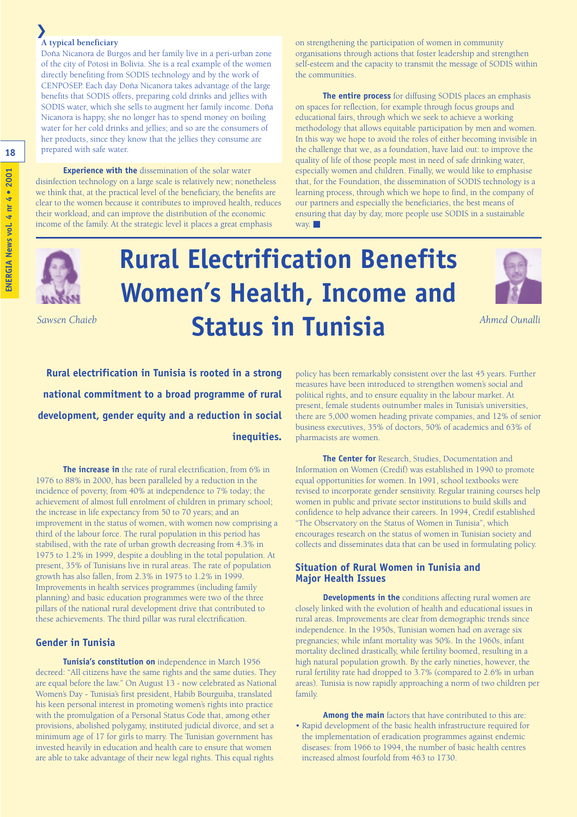#### **A typical beneficiary**

 $\blacktriangleright$ 

Doña Nicanora de Burgos and her family live in a peri-urban zone of the city of Potosi in Bolivia. She is a real example of the women directly benefiting from SODIS technology and by the work of CENPOSEP. Each day Doña Nicanora takes advantage of the large benefits that SODIS offers, preparing cold drinks and jellies with SODIS water, which she sells to augment her family income. Doña Nicanora is happy, she no longer has to spend money on boiling water for her cold drinks and jellies; and so are the consumers of her products, since they know that the jellies they consume are prepared with safe water.

**Experience with the** dissemination of the solar water disinfection technology on a large scale is relatively new; nonetheless we think that, at the practical level of the beneficiary, the benefits are clear to the women because it contributes to improved health, reduces their workload, and can improve the distribution of the economic income of the family. At the strategic level it places a great emphasis

on strengthening the participation of women in community organisations through actions that foster leadership and strengthen self-esteem and the capacity to transmit the message of SODIS within the communities.

**The entire process** for diffusing SODIS places an emphasis on spaces for reflection, for example through focus groups and educational fairs, through which we seek to achieve a working methodology that allows equitable participation by men and women. In this way we hope to avoid the roles of either becoming invisible in the challenge that we, as a foundation, have laid out: to improve the quality of life of those people most in need of safe drinking water, especially women and children. Finally, we would like to emphasise that, for the Foundation, the dissemination of SODIS technology is a learning process, through which we hope to find, in the company of our partners and especially the beneficiaries, the best means of ensuring that day by day, more people use SODIS in a sustainable way. ■



### **Rural Electrification Benefits Women's Health, Income and**  Sawsen Chaieb **Status in Tunisia** *Ahmed Ounalli*



**Rural electrification in Tunisia is rooted in a strong national commitment to a broad programme of rural development, gender equity and a reduction in social inequities.** 

**The increase in** the rate of rural electrification, from 6% in 1976 to 88% in 2000, has been paralleled by a reduction in the incidence of poverty, from 40% at independence to 7% today; the achievement of almost full enrolment of children in primary school; the increase in life expectancy from 50 to 70 years; and an improvement in the status of women, with women now comprising a third of the labour force. The rural population in this period has stabilised, with the rate of urban growth decreasing from 4.3% in 1975 to 1.2% in 1999, despite a doubling in the total population. At present, 35% of Tunisians live in rural areas. The rate of population growth has also fallen, from 2.3% in 1975 to 1.2% in 1999. Improvements in health services programmes (including family planning) and basic education programmes were two of the three pillars of the national rural development drive that contributed to these achievements. The third pillar was rural electrification.

#### **Gender in Tunisia**

**Tunisia's constitution on** independence in March 1956 decreed: "All citizens have the same rights and the same duties. They are equal before the law." On August 13 - now celebrated as National Women's Day - Tunisia's first president, Habib Bourguiba, translated his keen personal interest in promoting women's rights into practice with the promulgation of a Personal Status Code that, among other provisions, abolished polygamy, instituted judicial divorce, and set a minimum age of 17 for girls to marry. The Tunisian government has invested heavily in education and health care to ensure that women are able to take advantage of their new legal rights. This equal rights

policy has been remarkably consistent over the last 45 years. Further measures have been introduced to strengthen women's social and political rights, and to ensure equality in the labour market. At present, female students outnumber males in Tunisia's universities, there are 5,000 women heading private companies, and 12% of senior business executives, 35% of doctors, 50% of academics and 63% of pharmacists are women.

**The Center for** Research, Studies, Documentation and Information on Women (Credif) was established in 1990 to promote equal opportunities for women. In 1991, school textbooks were revised to incorporate gender sensitivity. Regular training courses help women in public and private sector institutions to build skills and confidence to help advance their careers. In 1994, Credif established "The Observatory on the Status of Women in Tunisia", which encourages research on the status of women in Tunisian society and collects and disseminates data that can be used in formulating policy.

#### **Situation of Rural Women in Tunisia and Major Health Issues**

**Developments in the** conditions affecting rural women are closely linked with the evolution of health and educational issues in rural areas. Improvements are clear from demographic trends since independence. In the 1950s, Tunisian women had on average six pregnancies; while infant mortality was 50%. In the 1960s, infant mortality declined drastically, while fertility boomed, resulting in a high natural population growth. By the early nineties, however, the rural fertility rate had dropped to 3.7% (compared to 2.6% in urban areas). Tunisia is now rapidly approaching a norm of two children per family.

**Among the main** factors that have contributed to this are: • Rapid development of the basic health infrastructure required for the implementation of eradication programmes against endemic diseases: from 1966 to 1994, the number of basic health centres increased almost fourfold from 463 to 1730.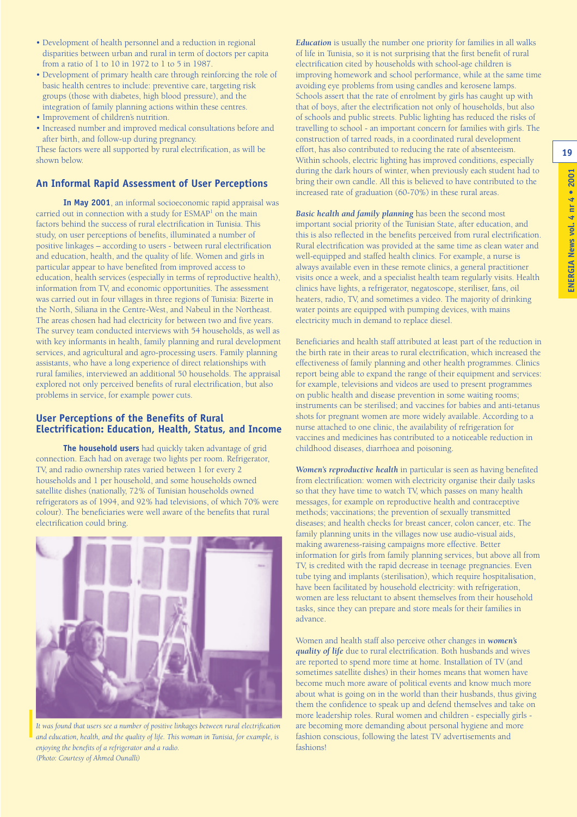- Development of health personnel and a reduction in regional disparities between urban and rural in term of doctors per capita from a ratio of 1 to 10 in 1972 to 1 to 5 in 1987.
- Development of primary health care through reinforcing the role of basic health centres to include: preventive care, targeting risk groups (those with diabetes, high blood pressure), and the integration of family planning actions within these centres.
- Improvement of children's nutrition.
- Increased number and improved medical consultations before and after birth, and follow-up during pregnancy.

These factors were all supported by rural electrification, as will be shown below.

#### **An Informal Rapid Assessment of User Perceptions**

**In May 2001**, an informal socioeconomic rapid appraisal was carried out in connection with a study for ESMAP<sup>1</sup> on the main factors behind the success of rural electrification in Tunisia. This study, on user perceptions of benefits, illuminated a number of positive linkages – according to users - between rural electrification and education, health, and the quality of life. Women and girls in particular appear to have benefited from improved access to education, health services (especially in terms of reproductive health), information from TV, and economic opportunities. The assessment was carried out in four villages in three regions of Tunisia: Bizerte in the North, Siliana in the Centre-West, and Nabeul in the Northeast. The areas chosen had had electricity for between two and five years. The survey team conducted interviews with 54 households, as well as with key informants in health, family planning and rural development services, and agricultural and agro-processing users. Family planning assistants, who have a long experience of direct relationships with rural families, interviewed an additional 50 households. The appraisal explored not only perceived benefits of rural electrification, but also problems in service, for example power cuts.

#### **User Perceptions of the Benefits of Rural Electrification: Education, Health, Status, and Income**

**The household users** had quickly taken advantage of grid connection. Each had on average two lights per room. Refrigerator, TV, and radio ownership rates varied between 1 for every 2 households and 1 per household, and some households owned satellite dishes (nationally, 72% of Tunisian households owned refrigerators as of 1994, and 92% had televisions, of which 70% were colour). The beneficiaries were well aware of the benefits that rural electrification could bring.



*It was found that users see a number of positive linkages between rural electrification and education, health, and the quality of life. This woman in Tunisia, for example, is enjoying the benefits of a refrigerator and a radio. (Photo: Courtesy of Ahmed Ounalli)*

*Education* is usually the number one priority for families in all walks of life in Tunisia, so it is not surprising that the first benefit of rural electrification cited by households with school-age children is improving homework and school performance, while at the same time avoiding eye problems from using candles and kerosene lamps. Schools assert that the rate of enrolment by girls has caught up with that of boys, after the electrification not only of households, but also of schools and public streets. Public lighting has reduced the risks of travelling to school - an important concern for families with girls. The construction of tarred roads, in a coordinated rural development effort, has also contributed to reducing the rate of absenteeism. Within schools, electric lighting has improved conditions, especially during the dark hours of winter, when previously each student had to bring their own candle. All this is believed to have contributed to the increased rate of graduation (60-70%) in these rural areas.

*Basic health and family planning* has been the second most important social priority of the Tunisian State, after education, and this is also reflected in the benefits perceived from rural electrification. Rural electrification was provided at the same time as clean water and well-equipped and staffed health clinics. For example, a nurse is always available even in these remote clinics, a general practitioner visits once a week, and a specialist health team regularly visits. Health clinics have lights, a refrigerator, negatoscope, steriliser, fans, oil heaters, radio, TV, and sometimes a video. The majority of drinking water points are equipped with pumping devices, with mains electricity much in demand to replace diesel.

Beneficiaries and health staff attributed at least part of the reduction in the birth rate in their areas to rural electrification, which increased the effectiveness of family planning and other health programmes. Clinics report being able to expand the range of their equipment and services: for example, televisions and videos are used to present programmes on public health and disease prevention in some waiting rooms; instruments can be sterilised; and vaccines for babies and anti-tetanus shots for pregnant women are more widely available. According to a nurse attached to one clinic, the availability of refrigeration for vaccines and medicines has contributed to a noticeable reduction in childhood diseases, diarrhoea and poisoning.

*Women's reproductive health* in particular is seen as having benefited from electrification: women with electricity organise their daily tasks so that they have time to watch TV, which passes on many health messages, for example on reproductive health and contraceptive methods; vaccinations; the prevention of sexually transmitted diseases; and health checks for breast cancer, colon cancer, etc. The family planning units in the villages now use audio-visual aids, making awareness-raising campaigns more effective. Better information for girls from family planning services, but above all from TV, is credited with the rapid decrease in teenage pregnancies. Even tube tying and implants (sterilisation), which require hospitalisation, have been facilitated by household electricity: with refrigeration, women are less reluctant to absent themselves from their household tasks, since they can prepare and store meals for their families in advance.

Women and health staff also perceive other changes in *women's quality of life* due to rural electrification. Both husbands and wives are reported to spend more time at home. Installation of TV (and sometimes satellite dishes) in their homes means that women have become much more aware of political events and know much more about what is going on in the world than their husbands, thus giving them the confidence to speak up and defend themselves and take on more leadership roles. Rural women and children - especially girls are becoming more demanding about personal hygiene and more fashion conscious, following the latest TV advertisements and fashions!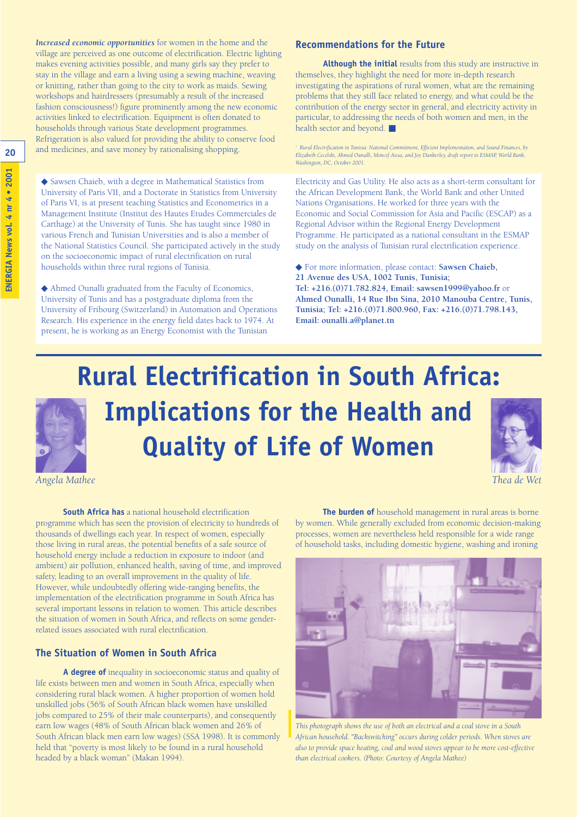*Increased economic opportunities* for women in the home and the village are perceived as one outcome of electrification. Electric lighting makes evening activities possible, and many girls say they prefer to stay in the village and earn a living using a sewing machine, weaving or knitting, rather than going to the city to work as maids. Sewing workshops and hairdressers (presumably a result of the increased fashion consciousness!) figure prominently among the new economic activities linked to electrification. Equipment is often donated to households through various State development programmes. Refrigeration is also valued for providing the ability to conserve food and medicines, and save money by rationalising shopping.

ENERGIA News vol. 4 nr 4 . 2001 **ENERGIA News vol. 4 nr 4 • 2001**

**20**

◆ Sawsen Chaieb, with a degree in Mathematical Statistics from University of Paris VII, and a Doctorate in Statistics from University of Paris VI, is at present teaching Statistics and Econometrics in a Management Institute (Institut des Hautes Etudes Commerciales de Carthage) at the University of Tunis. She has taught since 1980 in various French and Tunisian Universities and is also a member of the National Statistics Council. She participated actively in the study on the socioeconomic impact of rural electrification on rural households within three rural regions of Tunisia.

◆ Ahmed Ounalli graduated from the Faculty of Economics, University of Tunis and has a postgraduate diploma from the University of Fribourg (Switzerland) in Automation and Operations Research. His experience in the energy field dates back to 1974. At present, he is working as an Energy Economist with the Tunisian

#### **Recommendations for the Future**

**Although the initial** results from this study are instructive in themselves, they highlight the need for more in-depth research investigating the aspirations of rural women, what are the remaining problems that they still face related to energy, and what could be the contribution of the energy sector in general, and electricity activity in particular, to addressing the needs of both women and men, in the health sector and beyond. ■

*<sup>1</sup> Rural Electrification in Tunisia: National Commitment, Efficient Implementation, and Sound Finances, by Elizabeth Cecelski, Ahmed Ounalli, Moncef Aissa, and Joy Dunkerley, draft report to ESMAP, World Bank, Washington, DC, October 2001.*

Electricity and Gas Utility. He also acts as a short-term consultant for the African Development Bank, the World Bank and other United Nations Organisations. He worked for three years with the Economic and Social Commission for Asia and Pacific (ESCAP) as a Regional Advisor within the Regional Energy Development Programme. He participated as a national consultant in the ESMAP study on the analysis of Tunisian rural electrification experience.

◆ For more information, please contact: **Sawsen Chaieb, 21 Avenue des USA, 1002 Tunis, Tunisia; Tel: +216.(0)71.782.824, Email: sawsen1999@yahoo.fr** or **Ahmed Ounalli, 14 Rue Ibn Sina, 2010 Manouba Centre, Tunis, Tunisia; Tel: +216.(0)71.800.960, Fax: +216.(0)71.798.143, Email: ounalli.a@planet.tn**

## **Rural Electrification in South Africa: Implications for the Health and Quality of Life of Women**



*Angela Mathee Thea de Wet*

**South Africa has** a national household electrification programme which has seen the provision of electricity to hundreds of thousands of dwellings each year. In respect of women, especially those living in rural areas, the potential benefits of a safe source of household energy include a reduction in exposure to indoor (and ambient) air pollution, enhanced health, saving of time, and improved safety, leading to an overall improvement in the quality of life. However, while undoubtedly offering wide-ranging benefits, the implementation of the electrification programme in South Africa has several important lessons in relation to women. This article describes the situation of women in South Africa, and reflects on some genderrelated issues associated with rural electrification.

#### **The Situation of Women in South Africa**

**A degree of** inequality in socioeconomic status and quality of life exists between men and women in South Africa, especially when considering rural black women. A higher proportion of women hold unskilled jobs (56% of South African black women have unskilled jobs compared to 25% of their male counterparts), and consequently earn low wages (48% of South African black women and 26% of South African black men earn low wages) (SSA 1998). It is commonly held that "poverty is most likely to be found in a rural household headed by a black woman" (Makan 1994).

**The burden of** household management in rural areas is borne by women. While generally excluded from economic decision-making processes, women are nevertheless held responsible for a wide range of household tasks, including domestic hygiene, washing and ironing



*This photograph shows the use of both an electrical and a coal stove in a South African household. "Backswitching" occurs during colder periods. When stoves are also to provide space heating, coal and wood stoves appear to be more cost-effective than electrical cookers. (Photo: Courtesy of Angela Mathee)*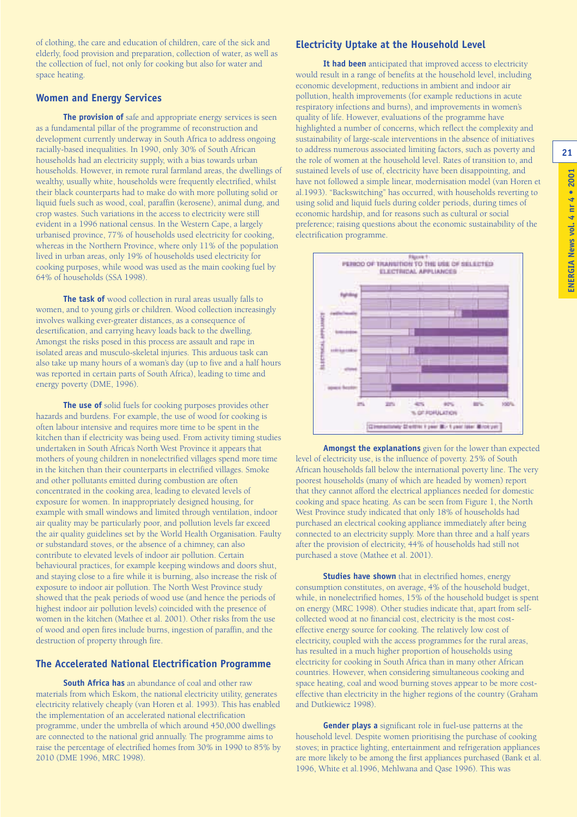**21** 2001 **ENERGIA News vol. 4 nr 4 • 2001**  $\ddot{\bullet}$ ENERGIA News vol. 4 nr

of clothing, the care and education of children, care of the sick and elderly, food provision and preparation, collection of water, as well as the collection of fuel, not only for cooking but also for water and space heating.

#### **Women and Energy Services**

**The provision of** safe and appropriate energy services is seen as a fundamental pillar of the programme of reconstruction and development currently underway in South Africa to address ongoing racially-based inequalities. In 1990, only 30% of South African households had an electricity supply, with a bias towards urban households. However, in remote rural farmland areas, the dwellings of wealthy, usually white, households were frequently electrified, whilst their black counterparts had to make do with more polluting solid or liquid fuels such as wood, coal, paraffin (kerosene), animal dung, and crop wastes. Such variations in the access to electricity were still evident in a 1996 national census. In the Western Cape, a largely urbanised province, 77% of households used electricity for cooking, whereas in the Northern Province, where only 11% of the population lived in urban areas, only 19% of households used electricity for cooking purposes, while wood was used as the main cooking fuel by 64% of households (SSA 1998).

**The task of** wood collection in rural areas usually falls to women, and to young girls or children. Wood collection increasingly involves walking ever-greater distances, as a consequence of desertification, and carrying heavy loads back to the dwelling. Amongst the risks posed in this process are assault and rape in isolated areas and musculo-skeletal injuries. This arduous task can also take up many hours of a woman's day (up to five and a half hours was reported in certain parts of South Africa), leading to time and energy poverty (DME, 1996).

**The use of** solid fuels for cooking purposes provides other hazards and burdens. For example, the use of wood for cooking is often labour intensive and requires more time to be spent in the kitchen than if electricity was being used. From activity timing studies undertaken in South Africa's North West Province it appears that mothers of young children in nonelectrified villages spend more time in the kitchen than their counterparts in electrified villages. Smoke and other pollutants emitted during combustion are often concentrated in the cooking area, leading to elevated levels of exposure for women. In inappropriately designed housing, for example with small windows and limited through ventilation, indoor air quality may be particularly poor, and pollution levels far exceed the air quality guidelines set by the World Health Organisation. Faulty or substandard stoves, or the absence of a chimney, can also contribute to elevated levels of indoor air pollution. Certain behavioural practices, for example keeping windows and doors shut, and staying close to a fire while it is burning, also increase the risk of exposure to indoor air pollution. The North West Province study showed that the peak periods of wood use (and hence the periods of highest indoor air pollution levels) coincided with the presence of women in the kitchen (Mathee et al. 2001). Other risks from the use of wood and open fires include burns, ingestion of paraffin, and the destruction of property through fire.

#### **The Accelerated National Electrification Programme**

**South Africa has** an abundance of coal and other raw materials from which Eskom, the national electricity utility, generates electricity relatively cheaply (van Horen et al. 1993). This has enabled the implementation of an accelerated national electrification programme, under the umbrella of which around 450,000 dwellings are connected to the national grid annually. The programme aims to raise the percentage of electrified homes from 30% in 1990 to 85% by 2010 (DME 1996, MRC 1998).

#### **Electricity Uptake at the Household Level**

**It had been** anticipated that improved access to electricity would result in a range of benefits at the household level, including economic development, reductions in ambient and indoor air pollution, health improvements (for example reductions in acute respiratory infections and burns), and improvements in women's quality of life. However, evaluations of the programme have highlighted a number of concerns, which reflect the complexity and sustainability of large-scale interventions in the absence of initiatives to address numerous associated limiting factors, such as poverty and the role of women at the household level. Rates of transition to, and sustained levels of use of, electricity have been disappointing, and have not followed a simple linear, modernisation model (van Horen et al.1993). "Backswitching" has occurred, with households reverting to using solid and liquid fuels during colder periods, during times of economic hardship, and for reasons such as cultural or social preference; raising questions about the economic sustainability of the electrification programme.



**Amongst the explanations** given for the lower than expected level of electricity use, is the influence of poverty. 25% of South African households fall below the international poverty line. The very poorest households (many of which are headed by women) report that they cannot afford the electrical appliances needed for domestic cooking and space heating. As can be seen from Figure 1, the North West Province study indicated that only 18% of households had purchased an electrical cooking appliance immediately after being connected to an electricity supply. More than three and a half years after the provision of electricity, 44% of households had still not purchased a stove (Mathee et al. 2001).

**Studies have shown** that in electrified homes, energy consumption constitutes, on average, 4% of the household budget, while, in nonelectrified homes, 15% of the household budget is spent on energy (MRC 1998). Other studies indicate that, apart from selfcollected wood at no financial cost, electricity is the most costeffective energy source for cooking. The relatively low cost of electricity, coupled with the access programmes for the rural areas, has resulted in a much higher proportion of households using electricity for cooking in South Africa than in many other African countries. However, when considering simultaneous cooking and space heating, coal and wood burning stoves appear to be more costeffective than electricity in the higher regions of the country (Graham and Dutkiewicz 1998).

**Gender plays a** significant role in fuel-use patterns at the household level. Despite women prioritising the purchase of cooking stoves; in practice lighting, entertainment and refrigeration appliances are more likely to be among the first appliances purchased (Bank et al. 1996, White et al.1996, Mehlwana and Qase 1996). This was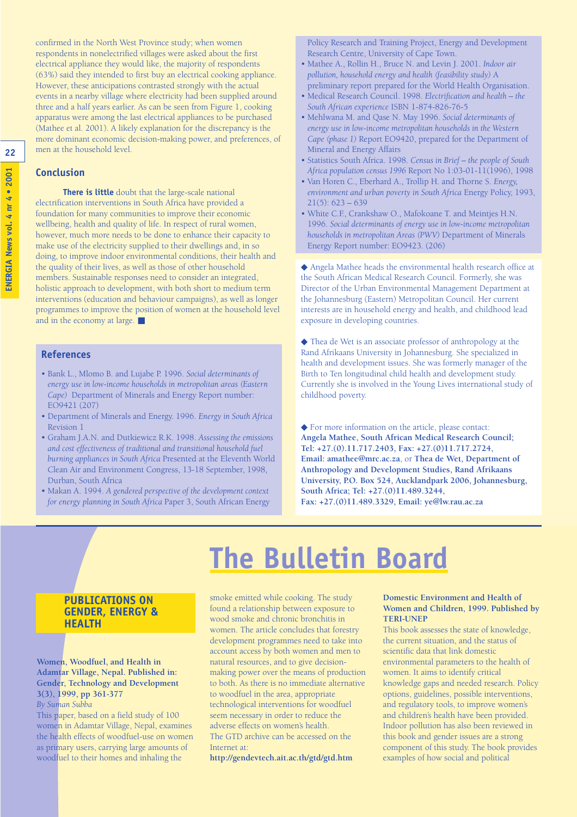**22**

confirmed in the North West Province study; when women respondents in nonelectrified villages were asked about the first electrical appliance they would like, the majority of respondents (63%) said they intended to first buy an electrical cooking appliance. However, these anticipations contrasted strongly with the actual events in a nearby village where electricity had been supplied around three and a half years earlier. As can be seen from Figure 1, cooking apparatus were among the last electrical appliances to be purchased (Mathee et al. 2001). A likely explanation for the discrepancy is the more dominant economic decision-making power, and preferences, of men at the household level.

#### **Conclusion**

**There is little** doubt that the large-scale national electrification interventions in South Africa have provided a foundation for many communities to improve their economic wellbeing, health and quality of life. In respect of rural women, however, much more needs to be done to enhance their capacity to make use of the electricity supplied to their dwellings and, in so doing, to improve indoor environmental conditions, their health and the quality of their lives, as well as those of other household members. Sustainable responses need to consider an integrated, holistic approach to development, with both short to medium term interventions (education and behaviour campaigns), as well as longer programmes to improve the position of women at the household level and in the economy at large. ■

#### **References**

- Bank L., Mlomo B. and Lujabe P. 1996. *Social determinants of energy use in low-income households in metropolitan areas (Eastern Cape)* Department of Minerals and Energy Report number: EO9421 (207)
- Department of Minerals and Energy. 1996. *Energy in South Africa* Revision 1
- Graham J.A.N. and Dutkiewicz R.K. 1998. *Assessing the emissions and cost effectiveness of traditional and transitional household fuel burning appliances in South Africa* Presented at the Eleventh World Clean Air and Environment Congress, 13-18 September, 1998, Durban, South Africa
- Makan A. 1994. *A gendered perspective of the development context for energy planning in South Africa* Paper 3, South African Energy

Policy Research and Training Project, Energy and Development Research Centre, University of Cape Town.

- Mathee A., Rollin H., Bruce N. and Levin J. 2001. *Indoor air pollution, household energy and health (feasibility study)* A preliminary report prepared for the World Health Organisation.
- Medical Research Council. 1998. *Electrification and health the South African experience* ISBN 1-874-826-76-5
- Mehlwana M. and Qase N. May 1996. *Social determinants of energy use in low-income metropolitan households in the Western Cape (phase 1)* Report EO9420, prepared for the Department of Mineral and Energy Affairs
- Statistics South Africa. 1998. *Census in Brief the people of South Africa population census 1996* Report No 1:03-01-11(1996), 1998
- Van Horen C., Eberhard A., Trollip H. and Thorne S. *Energy, environment and urban poverty in South Africa* Energy Policy, 1993,  $21(5): 623 - 639$
- White C.F., Crankshaw O., Mafokoane T. and Meintjes H.N. 1996. *Social determinants of energy use in low-income metropolitan households in metropolitan Areas (PWV)* Department of Minerals Energy Report number: EO9423. (206)

◆ Angela Mathee heads the environmental health research office at the South African Medical Research Council. Formerly, she was Director of the Urban Environmental Management Department at the Johannesburg (Eastern) Metropolitan Council. Her current interests are in household energy and health, and childhood lead exposure in developing countries.

◆ Thea de Wet is an associate professor of anthropology at the Rand Afrikaans University in Johannesburg. She specialized in health and development issues. She was formerly manager of the Birth to Ten longitudinal child health and development study. Currently she is involved in the Young Lives international study of childhood poverty.

◆ For more information on the article, please contact: **Angela Mathee, South African Medical Research Council; Tel: +27.(0).11.717.2403, Fax: +27.(0)11.717.2724, Email: amathee@mrc.ac.za**, or **Thea de Wet, Department of Anthropology and Development Studies, Rand Afrikaans University, P.O. Box 524, Aucklandpark 2006, Johannesburg, South Africa; Tel: +27.(0)11.489.3244, Fax: +27.(0)11.489.3329, Email: ye@lw.rau.ac.za**

### **The Bulletin Board**

#### **PUBLICATIONS ON GENDER, ENERGY & HEALTH**

#### **Women, Woodfuel, and Health in Adamtar Village, Nepal. Published in: Gender, Technology and Development 3(3), 1999, pp 361-377**

*By Suman Subba*

This paper, based on a field study of 100 women in Adamtar Village, Nepal, examines the health effects of woodfuel-use on women as primary users, carrying large amounts of woodfuel to their homes and inhaling the

smoke emitted while cooking. The study found a relationship between exposure to wood smoke and chronic bronchitis in women. The article concludes that forestry development programmes need to take into account access by both women and men to natural resources, and to give decisionmaking power over the means of production to both. As there is no immediate alternative to woodfuel in the area, appropriate technological interventions for woodfuel seem necessary in order to reduce the adverse effects on women's health. The GTD archive can be accessed on the Internet at:

**http://gendevtech.ait.ac.th/gtd/gtd.htm**

#### **Domestic Environment and Health of Women and Children, 1999. Published by TERI-UNEP**

This book assesses the state of knowledge, the current situation, and the status of scientific data that link domestic environmental parameters to the health of women. It aims to identify critical knowledge gaps and needed research. Policy options, guidelines, possible interventions, and regulatory tools, to improve women's and children's health have been provided. Indoor pollution has also been reviewed in this book and gender issues are a strong component of this study. The book provides examples of how social and political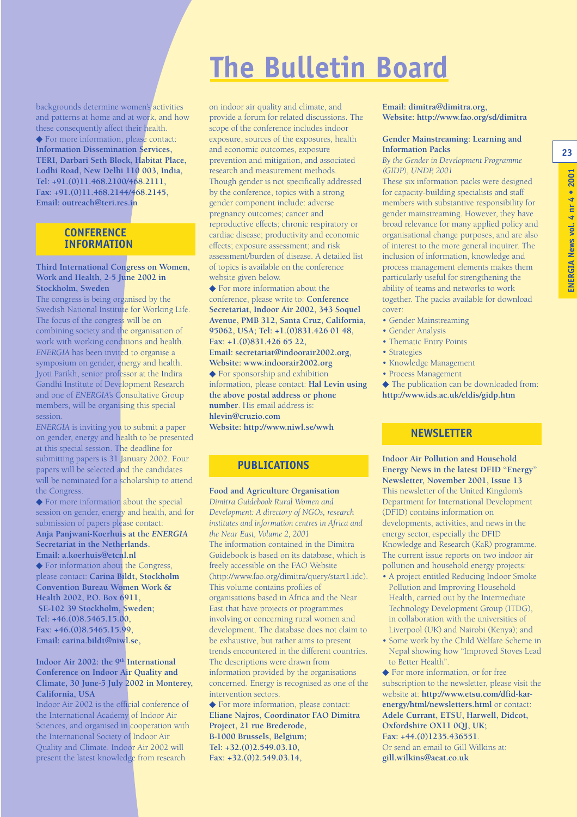## **The Bulletin Board**

backgrounds determine women's activities and patterns at home and at work, and how these consequently affect their health. ◆ For more information, please contact: **Information Dissemination Services, TERI, Darbari Seth Block, Habitat Place, Lodhi Road, New Delhi 110 003, India, Tel: +91.(0)11.468.2100/468.2111, Fax: +91.(0)11.468.2144/468.2145, Email: outreach@teri.res.in**

#### **CONFERENCE INFORMATION**

**Third International Congress on Women, Work and Health, 2-5 June 2002 in Stockholm, Sweden**

The congress is being organised by the Swedish National Institute for Working Life. The focus of the congress will be on combining society and the organisation of work with working conditions and health. *ENERGIA* has been invited to organise a symposium on gender, energy and health. Jyoti Parikh, senior professor at the Indira Gandhi Institute of Development Research and one of *ENERGIA*'s Consultative Group members, will be organising this special session.

*ENERGIA* is inviting you to submit a paper on gender, energy and health to be presented at this special session. The deadline for submitting papers is 31 January 2002. Four papers will be selected and the candidates will be nominated for a scholarship to attend the Congress.

◆ For more information about the special session on gender, energy and health, and for submission of papers please contact: **Anja Panjwani-Koerhuis at the** *ENERGIA* **Secretariat in the Netherlands.** 

**Email: a.koerhuis@etcnl.nl** ◆ For information about the Congress,

please contact: **Carina Bildt, Stockholm Convention Bureau Women Work & Health 2002, P.O. Box 6911, SE-102 39 Stockholm, Sweden; Tel: +46.(0)8.5465.15.00, Fax: +46.(0)8.5465.15.99, Email: carina.bildt@niwl.se,** 

#### **Indoor Air 2002: the 9th International Conference on Indoor Air Quality and Climate, 30 June-5 July 2002 in Monterey, California, USA**

Indoor Air 2002 is the official conference of the International Academy of Indoor Air Sciences, and organised in cooperation with the International Society of Indoor Air Quality and Climate. Indoor Air 2002 will present the latest knowledge from research

on indoor air quality and climate, and provide a forum for related discussions. The scope of the conference includes indoor exposure, sources of the exposures, health and economic outcomes, exposure prevention and mitigation, and associated research and measurement methods. Though gender is not specifically addressed by the conference, topics with a strong gender component include: adverse pregnancy outcomes; cancer and reproductive effects; chronic respiratory or cardiac disease; productivity and economic effects; exposure assessment; and risk assessment/burden of disease. A detailed list of topics is available on the conference website given below.

◆ For more information about the conference, please write to: **Conference Secretariat, Indoor Air 2002, 343 Soquel Avenue, PMB 312, Santa Cruz, California, 95062, USA; Tel: +1.(0)831.426 01 48, Fax: +1.(0)831.426 65 22, Email: secretariat@indoorair2002.org, Website: www.indoorair2002.org** ◆ For sponsorship and exhibition information, please contact: **Hal Levin using the above postal address or phone number**. His email address is: **hlevin@cruzio.com Website: http://www.niwl.se/wwh**

#### **PUBLICATIONS**

**Food and Agriculture Organisation** *Dimitra Guidebook Rural Women and Development: A directory of NGOs, research institutes and information centres in Africa and the Near East, Volume 2, 2001* The information contained in the Dimitra Guidebook is based on its database, which is freely accessible on the FAO Website (http://www.fao.org/dimitra/query/start1.idc). This volume contains profiles of organisations based in Africa and the Near East that have projects or programmes involving or concerning rural women and development. The database does not claim to be exhaustive, but rather aims to present trends encountered in the different countries. The descriptions were drawn from information provided by the organisations concerned. Energy is recognised as one of the intervention sectors.

◆ For more information, please contact: **Eliane Najros, Coordinator FAO Dimitra Project, 21 rue Brederode, B-1000 Brussels, Belgium; Tel: +32.(0)2.549.03.10, Fax: +32.(0)2.549.03.14,** 

#### **Email: dimitra@dimitra.org, Website: http://www.fao.org/sd/dimitra**

#### **Gender Mainstreaming: Learning and Information Packs**

*By the Gender in Development Programme (GIDP), UNDP, 2001*

These six information packs were designed for capacity-building specialists and staff members with substantive responsibility for gender mainstreaming. However, they have broad relevance for many applied policy and organisational change purposes, and are also of interest to the more general inquirer. The inclusion of information, knowledge and process management elements makes them particularly useful for strengthening the ability of teams and networks to work together. The packs available for download cover:

- Gender Mainstreaming
- Gender Analysis
- Thematic Entry Points
- Strategies
- Knowledge Management
- Process Management

◆ The publication can be downloaded from: **http://www.ids.ac.uk/eldis/gidp.htm**

#### **NEWSLETTER**

**Indoor Air Pollution and Household Energy News in the latest DFID "Energy" Newsletter, November 2001, Issue 13** This newsletter of the United Kingdom's Department for International Development (DFID) contains information on developments, activities, and news in the energy sector, especially the DFID Knowledge and Research (KaR) programme. The current issue reports on two indoor air pollution and household energy projects:

- A project entitled Reducing Indoor Smoke Pollution and Improving Household Health, carried out by the Intermediate Technology Development Group (ITDG), in collaboration with the universities of Liverpool (UK) and Nairobi (Kenya); and
- Some work by the Child Welfare Scheme in Nepal showing how "Improved Stoves Lead to Better Health".
- ◆ For more information, or for free subscription to the newsletter, please visit the website at: **http://www.etsu.com/dfid-karenergy/html/newsletters.html** or contact: **Adele Currant, ETSU, Harwell, Didcot, Oxfordshire OX11 0QJ, UK; Fax: +44.(0)1235.436551**. Or send an email to Gill Wilkins at: **gill.wilkins@aeat.co.uk**